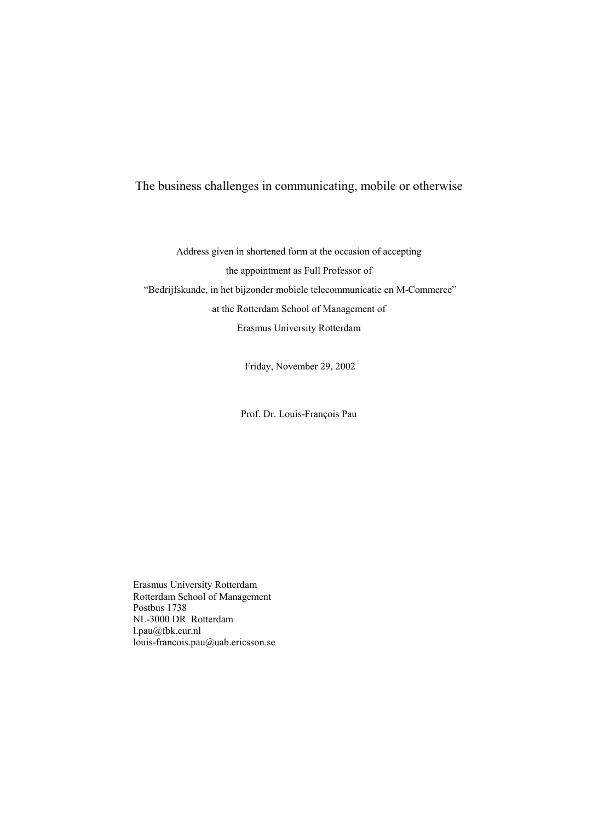# The business challenges in communicating, mobile or otherwise

Address given in shortened form at the occasion of accepting the appointment as Full Professor of "Bedrijfskunde, in het bijzonder mobiele telecommunicatie en M-Commerce" at the Rotterdam School of Management of Erasmus University Rotterdam

Friday, November 29, 2002

Prof. Dr. Louis-François Pau

Erasmus University Rotterdam Rotterdam School of Management Postbus 1738 NL-3000 DR Rotterdam l.pau@fbk.eur.nl louis-francois.pau@uab.ericsson.se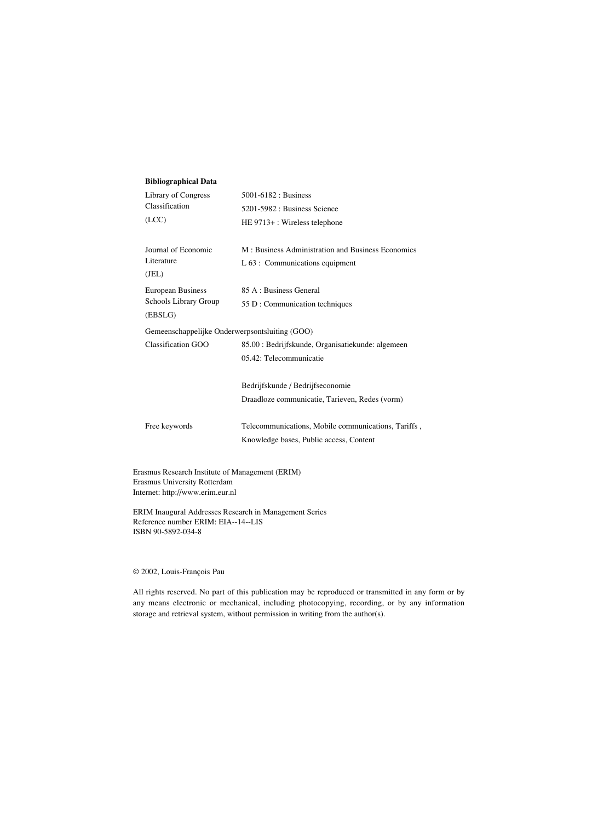#### **Bibliographical Data**

| Library of Congress<br>Classification          | 5001-6182 : Business                                |  |  |  |
|------------------------------------------------|-----------------------------------------------------|--|--|--|
|                                                | 5201-5982 : Business Science                        |  |  |  |
| (ICC)                                          | HE 9713+: Wireless telephone                        |  |  |  |
|                                                |                                                     |  |  |  |
| Journal of Economic                            | M: Business Administration and Business Economics   |  |  |  |
| Literature<br>(JEL)                            | $L 63$ : Communications equipment                   |  |  |  |
| <b>European Business</b>                       | 85 A : Business General                             |  |  |  |
| Schools Library Group                          | 55 D : Communication techniques                     |  |  |  |
| (EBSLG)                                        |                                                     |  |  |  |
| Gemeenschappelijke Onderwerpsontsluiting (GOO) |                                                     |  |  |  |
| Classification GOO                             | 85.00 : Bedrijfskunde, Organisatiekunde: algemeen   |  |  |  |
|                                                | 05.42: Telecommunicatie                             |  |  |  |
|                                                |                                                     |  |  |  |
|                                                | Bedrijfskunde / Bedrijfseconomie                    |  |  |  |
|                                                | Draadloze communicatie, Tarieven, Redes (vorm)      |  |  |  |
|                                                |                                                     |  |  |  |
| Free keywords                                  | Telecommunications, Mobile communications, Tariffs, |  |  |  |
|                                                | Knowledge bases, Public access, Content             |  |  |  |
|                                                |                                                     |  |  |  |

Erasmus Research Institute of Management (ERIM) Erasmus University Rotterdam Internet: http://www.erim.eur.nl

ERIM Inaugural Addresses Research in Management Series Reference number ERIM: EIA--14--LIS ISBN 90-5892-034-8

© 2002, Louis-François Pau

All rights reserved. No part of this publication may be reproduced or transmitted in any form or by any means electronic or mechanical, including photocopying, recording, or by any information storage and retrieval system, without permission in writing from the author(s).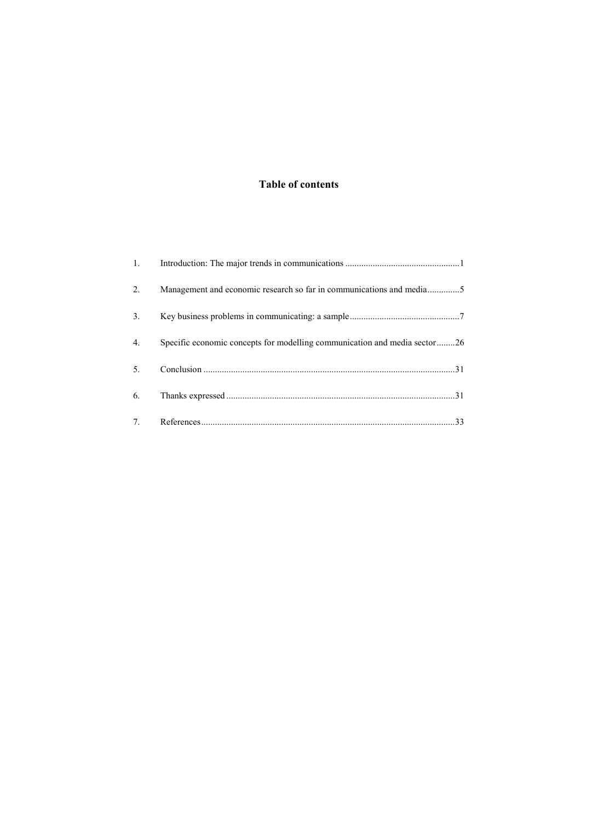# Table of contents

| $\mathbf{1}$ .                   |                                                                           |
|----------------------------------|---------------------------------------------------------------------------|
| 2.                               | Management and economic research so far in communications and media5      |
| 3 <sub>1</sub>                   |                                                                           |
| 4.                               | Specific economic concepts for modelling communication and media sector26 |
| 5.                               |                                                                           |
| 6.                               |                                                                           |
| $7_{\scriptscriptstyle{\ddots}}$ |                                                                           |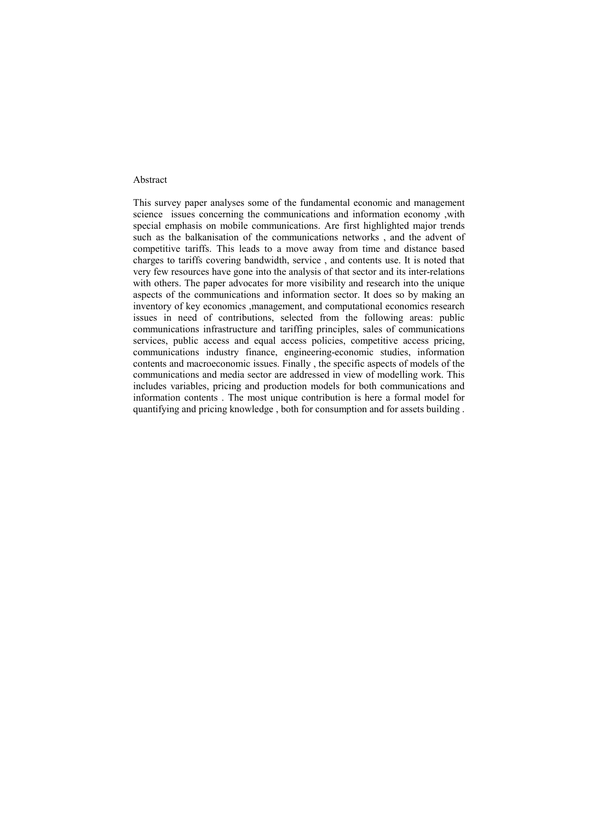#### Abstract

This survey paper analyses some of the fundamental economic and management science issues concerning the communications and information economy ,with special emphasis on mobile communications. Are first highlighted major trends such as the balkanisation of the communications networks , and the advent of competitive tariffs. This leads to a move away from time and distance based charges to tariffs covering bandwidth, service , and contents use. It is noted that very few resources have gone into the analysis of that sector and its inter-relations with others. The paper advocates for more visibility and research into the unique aspects of the communications and information sector. It does so by making an inventory of key economics ,management, and computational economics research issues in need of contributions, selected from the following areas: public communications infrastructure and tariffing principles, sales of communications services, public access and equal access policies, competitive access pricing, communications industry finance, engineering-economic studies, information contents and macroeconomic issues. Finally , the specific aspects of models of the communications and media sector are addressed in view of modelling work. This includes variables, pricing and production models for both communications and information contents . The most unique contribution is here a formal model for quantifying and pricing knowledge , both for consumption and for assets building .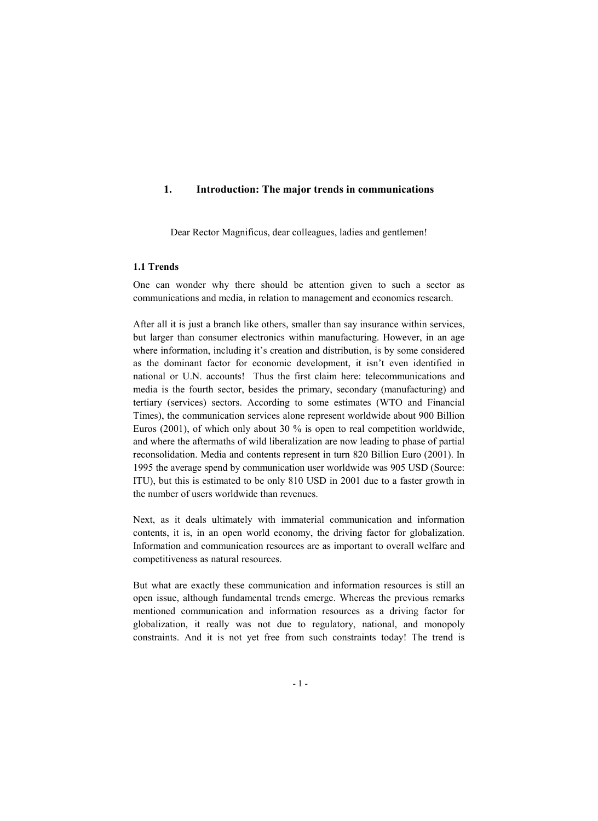# 1. Introduction: The major trends in communications

Dear Rector Magnificus, dear colleagues, ladies and gentlemen!

# 1.1 Trends

One can wonder why there should be attention given to such a sector as communications and media, in relation to management and economics research.

After all it is just a branch like others, smaller than say insurance within services, but larger than consumer electronics within manufacturing. However, in an age where information, including it's creation and distribution, is by some considered as the dominant factor for economic development, it isn't even identified in national or U.N. accounts! Thus the first claim here: telecommunications and media is the fourth sector, besides the primary, secondary (manufacturing) and tertiary (services) sectors. According to some estimates (WTO and Financial Times), the communication services alone represent worldwide about 900 Billion Euros (2001), of which only about 30 % is open to real competition worldwide, and where the aftermaths of wild liberalization are now leading to phase of partial reconsolidation. Media and contents represent in turn 820 Billion Euro (2001). In 1995 the average spend by communication user worldwide was 905 USD (Source: ITU), but this is estimated to be only 810 USD in 2001 due to a faster growth in the number of users worldwide than revenues.

Next, as it deals ultimately with immaterial communication and information contents, it is, in an open world economy, the driving factor for globalization. Information and communication resources are as important to overall welfare and competitiveness as natural resources.

But what are exactly these communication and information resources is still an open issue, although fundamental trends emerge. Whereas the previous remarks mentioned communication and information resources as a driving factor for globalization, it really was not due to regulatory, national, and monopoly constraints. And it is not yet free from such constraints today! The trend is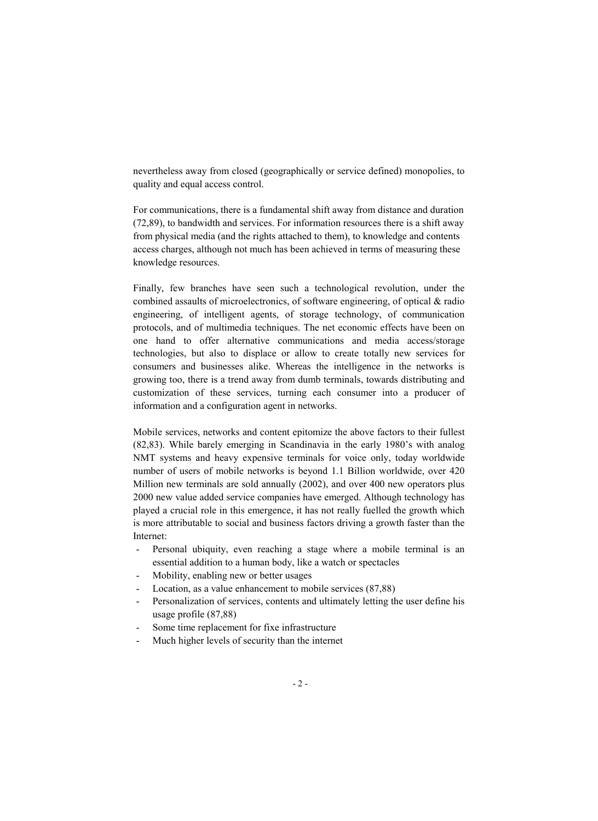nevertheless away from closed (geographically or service defined) monopolies, to quality and equal access control.

For communications, there is a fundamental shift away from distance and duration (72,89), to bandwidth and services. For information resources there is a shift away from physical media (and the rights attached to them), to knowledge and contents access charges, although not much has been achieved in terms of measuring these knowledge resources.

Finally, few branches have seen such a technological revolution, under the combined assaults of microelectronics, of software engineering, of optical & radio engineering, of intelligent agents, of storage technology, of communication protocols, and of multimedia techniques. The net economic effects have been on one hand to offer alternative communications and media access/storage technologies, but also to displace or allow to create totally new services for consumers and businesses alike. Whereas the intelligence in the networks is growing too, there is a trend away from dumb terminals, towards distributing and customization of these services, turning each consumer into a producer of information and a configuration agent in networks.

Mobile services, networks and content epitomize the above factors to their fullest (82,83). While barely emerging in Scandinavia in the early 1980's with analog NMT systems and heavy expensive terminals for voice only, today worldwide number of users of mobile networks is beyond 1.1 Billion worldwide, over 420 Million new terminals are sold annually (2002), and over 400 new operators plus 2000 new value added service companies have emerged. Although technology has played a crucial role in this emergence, it has not really fuelled the growth which is more attributable to social and business factors driving a growth faster than the Internet:

- Personal ubiquity, even reaching a stage where a mobile terminal is an essential addition to a human body, like a watch or spectacles
- Mobility, enabling new or better usages
- Location, as a value enhancement to mobile services (87,88)
- Personalization of services, contents and ultimately letting the user define his usage profile (87,88)
- Some time replacement for fixe infrastructure
- Much higher levels of security than the internet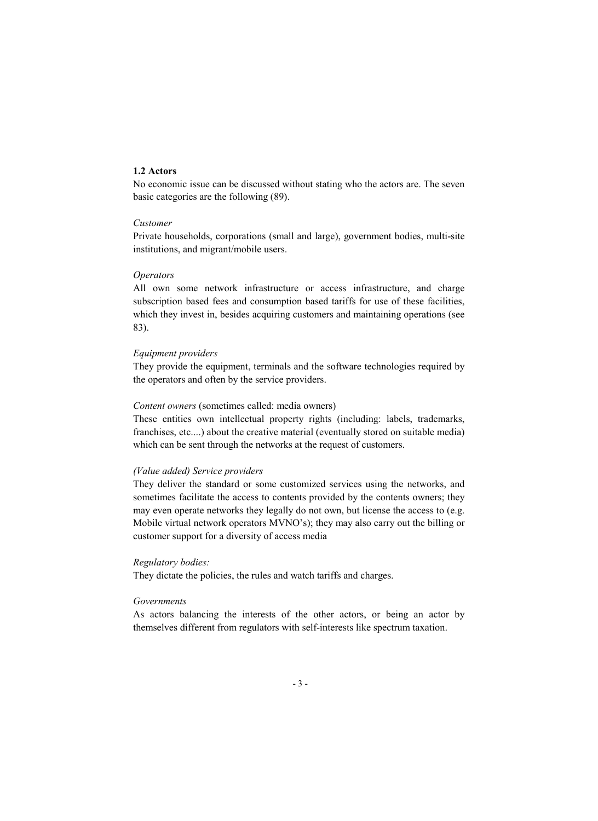## 1.2 Actors

No economic issue can be discussed without stating who the actors are. The seven basic categories are the following (89).

# *Customer*

Private households, corporations (small and large), government bodies, multi-site institutions, and migrant/mobile users.

#### *Operators*

All own some network infrastructure or access infrastructure, and charge subscription based fees and consumption based tariffs for use of these facilities, which they invest in, besides acquiring customers and maintaining operations (see 83).

#### *Equipment providers*

They provide the equipment, terminals and the software technologies required by the operators and often by the service providers.

#### *Content owners* (sometimes called: media owners)

These entities own intellectual property rights (including: labels, trademarks, franchises, etc....) about the creative material (eventually stored on suitable media) which can be sent through the networks at the request of customers.

### *(Value added) Service providers*

They deliver the standard or some customized services using the networks, and sometimes facilitate the access to contents provided by the contents owners; they may even operate networks they legally do not own, but license the access to (e.g. Mobile virtual network operators MVNO's); they may also carry out the billing or customer support for a diversity of access media

## *Regulatory bodies:*

They dictate the policies, the rules and watch tariffs and charges.

#### *Governments*

As actors balancing the interests of the other actors, or being an actor by themselves different from regulators with self-interests like spectrum taxation.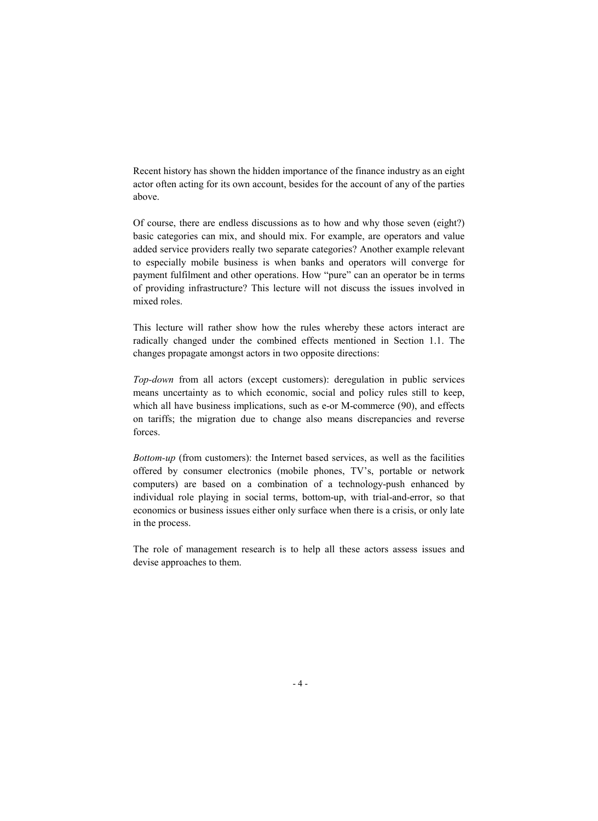Recent history has shown the hidden importance of the finance industry as an eight actor often acting for its own account, besides for the account of any of the parties above.

Of course, there are endless discussions as to how and why those seven (eight?) basic categories can mix, and should mix. For example, are operators and value added service providers really two separate categories? Another example relevant to especially mobile business is when banks and operators will converge for payment fulfilment and other operations. How "pure" can an operator be in terms of providing infrastructure? This lecture will not discuss the issues involved in mixed roles.

This lecture will rather show how the rules whereby these actors interact are radically changed under the combined effects mentioned in Section 1.1. The changes propagate amongst actors in two opposite directions:

*Top-down* from all actors (except customers): deregulation in public services means uncertainty as to which economic, social and policy rules still to keep, which all have business implications, such as e-or M-commerce (90), and effects on tariffs; the migration due to change also means discrepancies and reverse forces.

*Bottom-up* (from customers): the Internet based services, as well as the facilities offered by consumer electronics (mobile phones, TV's, portable or network computers) are based on a combination of a technology-push enhanced by individual role playing in social terms, bottom-up, with trial-and-error, so that economics or business issues either only surface when there is a crisis, or only late in the process.

The role of management research is to help all these actors assess issues and devise approaches to them.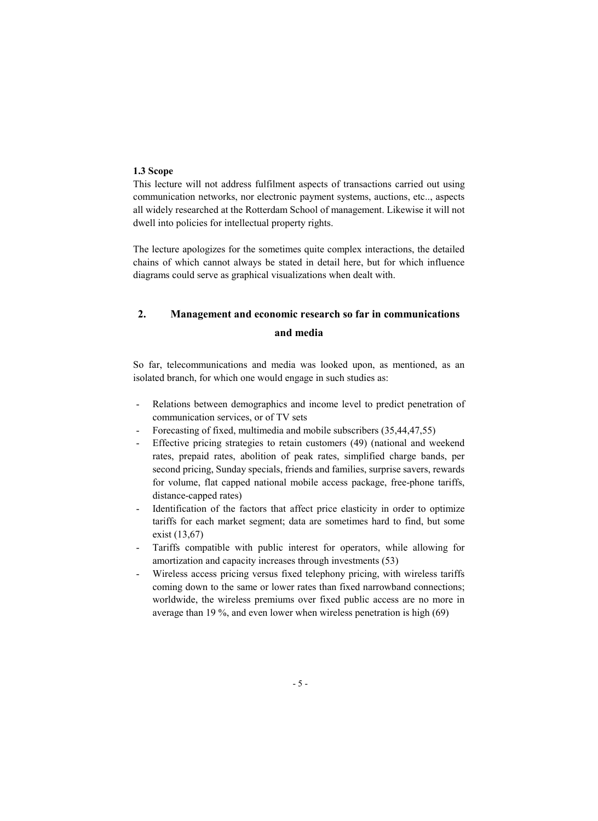# 1.3 Scope

This lecture will not address fulfilment aspects of transactions carried out using communication networks, nor electronic payment systems, auctions, etc.., aspects all widely researched at the Rotterdam School of management. Likewise it will not dwell into policies for intellectual property rights.

The lecture apologizes for the sometimes quite complex interactions, the detailed chains of which cannot always be stated in detail here, but for which influence diagrams could serve as graphical visualizations when dealt with.

# 2. Management and economic research so far in communications and media

So far, telecommunications and media was looked upon, as mentioned, as an isolated branch, for which one would engage in such studies as:

- Relations between demographics and income level to predict penetration of communication services, or of TV sets
- Forecasting of fixed, multimedia and mobile subscribers (35,44,47,55)
- Effective pricing strategies to retain customers (49) (national and weekend rates, prepaid rates, abolition of peak rates, simplified charge bands, per second pricing, Sunday specials, friends and families, surprise savers, rewards for volume, flat capped national mobile access package, free-phone tariffs, distance-capped rates)
- Identification of the factors that affect price elasticity in order to optimize tariffs for each market segment; data are sometimes hard to find, but some exist (13,67)
- Tariffs compatible with public interest for operators, while allowing for amortization and capacity increases through investments (53)
- Wireless access pricing versus fixed telephony pricing, with wireless tariffs coming down to the same or lower rates than fixed narrowband connections; worldwide, the wireless premiums over fixed public access are no more in average than 19 %, and even lower when wireless penetration is high (69)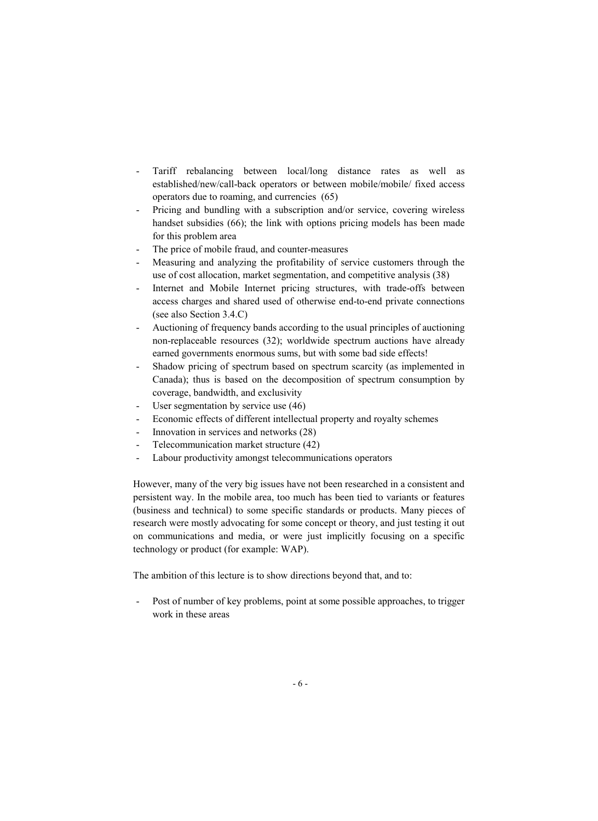- Tariff rebalancing between local/long distance rates as well as established/new/call-back operators or between mobile/mobile/ fixed access operators due to roaming, and currencies (65)
- Pricing and bundling with a subscription and/or service, covering wireless handset subsidies (66); the link with options pricing models has been made for this problem area
- The price of mobile fraud, and counter-measures
- Measuring and analyzing the profitability of service customers through the use of cost allocation, market segmentation, and competitive analysis (38)
- Internet and Mobile Internet pricing structures, with trade-offs between access charges and shared used of otherwise end-to-end private connections (see also Section 3.4.C)
- Auctioning of frequency bands according to the usual principles of auctioning non-replaceable resources (32); worldwide spectrum auctions have already earned governments enormous sums, but with some bad side effects!
- Shadow pricing of spectrum based on spectrum scarcity (as implemented in Canada); thus is based on the decomposition of spectrum consumption by coverage, bandwidth, and exclusivity
- User segmentation by service use (46)
- Economic effects of different intellectual property and royalty schemes
- Innovation in services and networks (28)
- Telecommunication market structure (42)
- Labour productivity amongst telecommunications operators

However, many of the very big issues have not been researched in a consistent and persistent way. In the mobile area, too much has been tied to variants or features (business and technical) to some specific standards or products. Many pieces of research were mostly advocating for some concept or theory, and just testing it out on communications and media, or were just implicitly focusing on a specific technology or product (for example: WAP).

The ambition of this lecture is to show directions beyond that, and to:

Post of number of key problems, point at some possible approaches, to trigger work in these areas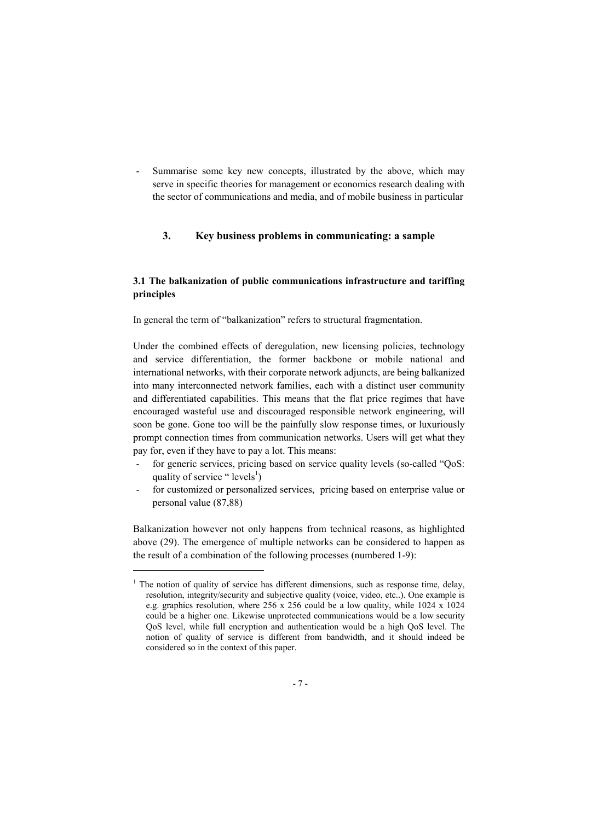Summarise some key new concepts, illustrated by the above, which may serve in specific theories for management or economics research dealing with the sector of communications and media, and of mobile business in particular

# 3. Key business problems in communicating: a sample

# 3.1 The balkanization of public communications infrastructure and tariffing principles

In general the term of "balkanization" refers to structural fragmentation.

Under the combined effects of deregulation, new licensing policies, technology and service differentiation, the former backbone or mobile national and international networks, with their corporate network adjuncts, are being balkanized into many interconnected network families, each with a distinct user community and differentiated capabilities. This means that the flat price regimes that have encouraged wasteful use and discouraged responsible network engineering, will soon be gone. Gone too will be the painfully slow response times, or luxuriously prompt connection times from communication networks. Users will get what they pay for, even if they have to pay a lot. This means:

- for generic services, pricing based on service quality levels (so-called "QoS: quality of service " levels<sup>1</sup>)
- for customized or personalized services, pricing based on enterprise value or personal value (87,88)

Balkanization however not only happens from technical reasons, as highlighted above (29). The emergence of multiple networks can be considered to happen as the result of a combination of the following processes (numbered 1-9):

l

<sup>&</sup>lt;sup>1</sup> The notion of quality of service has different dimensions, such as response time, delay, resolution, integrity/security and subjective quality (voice, video, etc..). One example is e.g. graphics resolution, where 256 x 256 could be a low quality, while 1024 x 1024 could be a higher one. Likewise unprotected communications would be a low security QoS level, while full encryption and authentication would be a high QoS level. The notion of quality of service is different from bandwidth, and it should indeed be considered so in the context of this paper.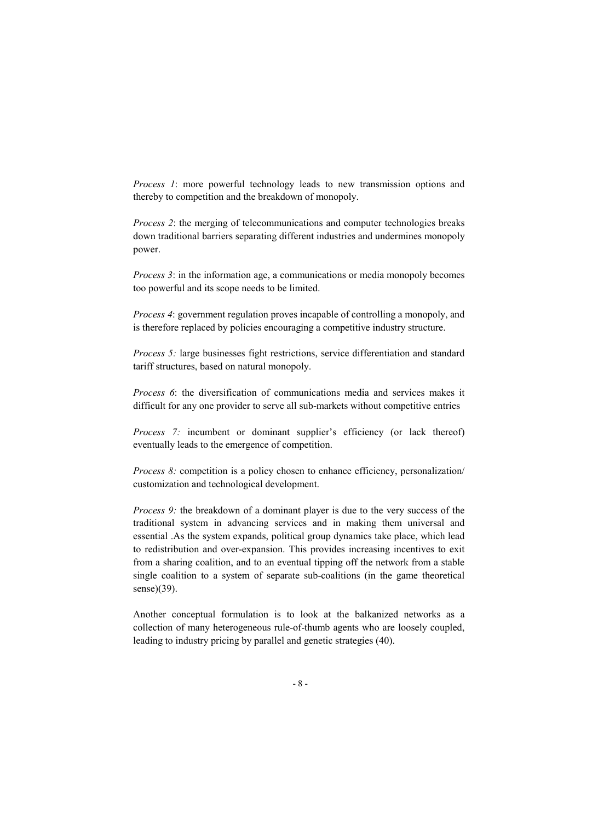*Process 1*: more powerful technology leads to new transmission options and thereby to competition and the breakdown of monopoly.

*Process 2*: the merging of telecommunications and computer technologies breaks down traditional barriers separating different industries and undermines monopoly power.

*Process 3*: in the information age, a communications or media monopoly becomes too powerful and its scope needs to be limited.

*Process 4*: government regulation proves incapable of controlling a monopoly, and is therefore replaced by policies encouraging a competitive industry structure.

*Process 5:* large businesses fight restrictions, service differentiation and standard tariff structures, based on natural monopoly.

*Process 6*: the diversification of communications media and services makes it difficult for any one provider to serve all sub-markets without competitive entries

*Process 7:* incumbent or dominant supplier's efficiency (or lack thereof) eventually leads to the emergence of competition.

*Process 8:* competition is a policy chosen to enhance efficiency, personalization/ customization and technological development.

*Process 9:* the breakdown of a dominant player is due to the very success of the traditional system in advancing services and in making them universal and essential .As the system expands, political group dynamics take place, which lead to redistribution and over-expansion. This provides increasing incentives to exit from a sharing coalition, and to an eventual tipping off the network from a stable single coalition to a system of separate sub-coalitions (in the game theoretical sense)(39).

Another conceptual formulation is to look at the balkanized networks as a collection of many heterogeneous rule-of-thumb agents who are loosely coupled, leading to industry pricing by parallel and genetic strategies (40).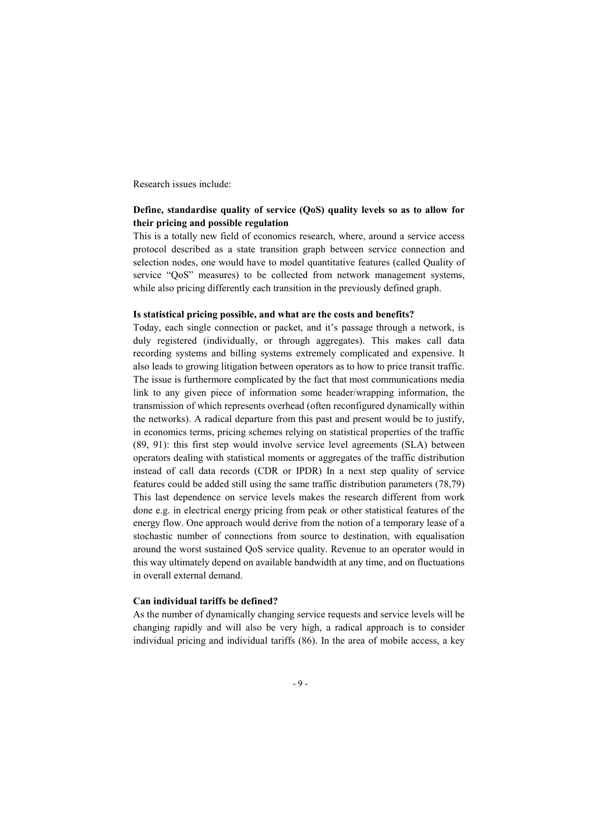Research issues include:

# Define, standardise quality of service (QoS) quality levels so as to allow for their pricing and possible regulation

This is a totally new field of economics research, where, around a service access protocol described as a state transition graph between service connection and selection nodes, one would have to model quantitative features (called Quality of service "QoS" measures) to be collected from network management systems, while also pricing differently each transition in the previously defined graph.

## Is statistical pricing possible, and what are the costs and benefits?

Today, each single connection or packet, and it's passage through a network, is duly registered (individually, or through aggregates). This makes call data recording systems and billing systems extremely complicated and expensive. It also leads to growing litigation between operators as to how to price transit traffic. The issue is furthermore complicated by the fact that most communications media link to any given piece of information some header/wrapping information, the transmission of which represents overhead (often reconfigured dynamically within the networks). A radical departure from this past and present would be to justify, in economics terms, pricing schemes relying on statistical properties of the traffic (89, 91): this first step would involve service level agreements (SLA) between operators dealing with statistical moments or aggregates of the traffic distribution instead of call data records (CDR or IPDR) In a next step quality of service features could be added still using the same traffic distribution parameters (78,79) This last dependence on service levels makes the research different from work done e.g. in electrical energy pricing from peak or other statistical features of the energy flow. One approach would derive from the notion of a temporary lease of a stochastic number of connections from source to destination, with equalisation around the worst sustained QoS service quality. Revenue to an operator would in this way ultimately depend on available bandwidth at any time, and on fluctuations in overall external demand.

## Can individual tariffs be defined?

As the number of dynamically changing service requests and service levels will be changing rapidly and will also be very high, a radical approach is to consider individual pricing and individual tariffs (86). In the area of mobile access, a key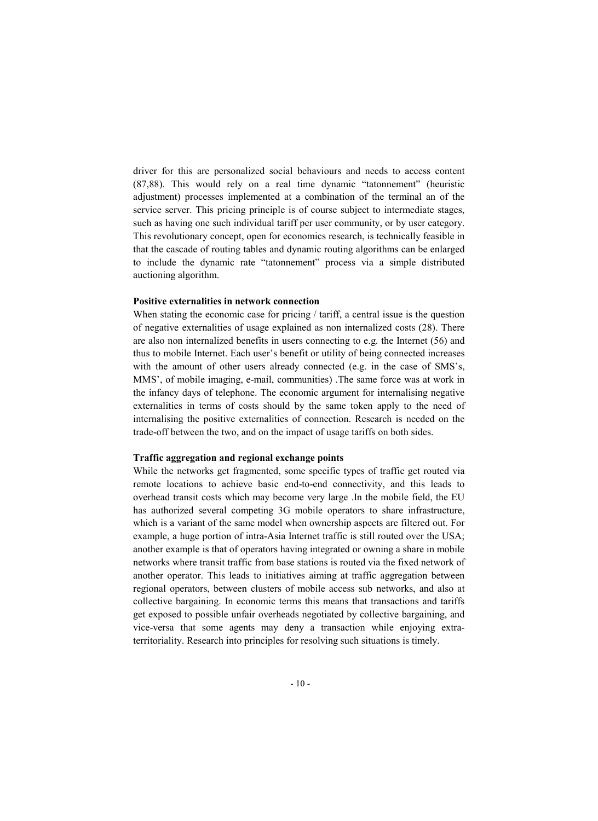driver for this are personalized social behaviours and needs to access content (87,88). This would rely on a real time dynamic "tatonnement" (heuristic adjustment) processes implemented at a combination of the terminal an of the service server. This pricing principle is of course subject to intermediate stages, such as having one such individual tariff per user community, or by user category. This revolutionary concept, open for economics research, is technically feasible in that the cascade of routing tables and dynamic routing algorithms can be enlarged to include the dynamic rate "tatonnement" process via a simple distributed auctioning algorithm.

## Positive externalities in network connection

When stating the economic case for pricing / tariff, a central issue is the question of negative externalities of usage explained as non internalized costs (28). There are also non internalized benefits in users connecting to e.g. the Internet (56) and thus to mobile Internet. Each user's benefit or utility of being connected increases with the amount of other users already connected (e.g. in the case of SMS's, MMS', of mobile imaging, e-mail, communities) .The same force was at work in the infancy days of telephone. The economic argument for internalising negative externalities in terms of costs should by the same token apply to the need of internalising the positive externalities of connection. Research is needed on the trade-off between the two, and on the impact of usage tariffs on both sides.

#### Traffic aggregation and regional exchange points

While the networks get fragmented, some specific types of traffic get routed via remote locations to achieve basic end-to-end connectivity, and this leads to overhead transit costs which may become very large .In the mobile field, the EU has authorized several competing 3G mobile operators to share infrastructure, which is a variant of the same model when ownership aspects are filtered out. For example, a huge portion of intra-Asia Internet traffic is still routed over the USA; another example is that of operators having integrated or owning a share in mobile networks where transit traffic from base stations is routed via the fixed network of another operator. This leads to initiatives aiming at traffic aggregation between regional operators, between clusters of mobile access sub networks, and also at collective bargaining. In economic terms this means that transactions and tariffs get exposed to possible unfair overheads negotiated by collective bargaining, and vice-versa that some agents may deny a transaction while enjoying extraterritoriality. Research into principles for resolving such situations is timely.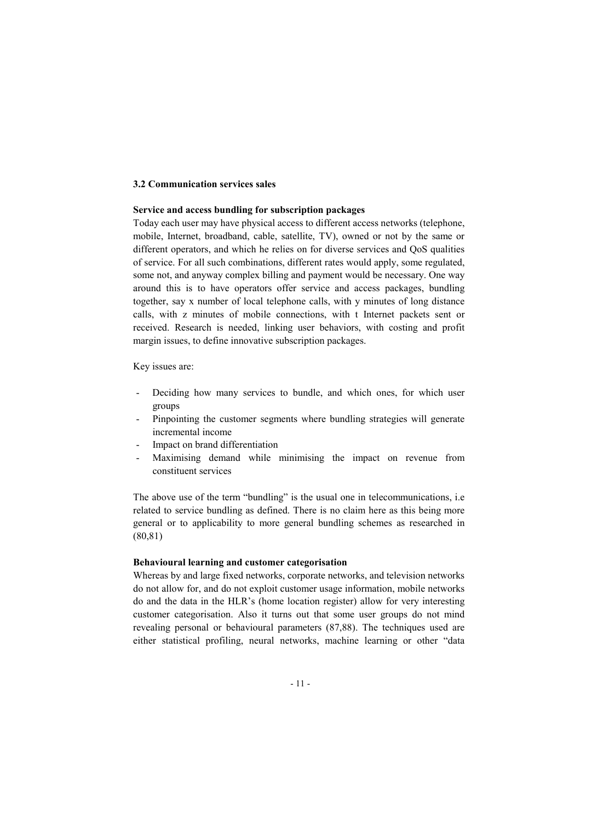## 3.2 Communication services sales

## Service and access bundling for subscription packages

Today each user may have physical access to different access networks (telephone, mobile, Internet, broadband, cable, satellite, TV), owned or not by the same or different operators, and which he relies on for diverse services and QoS qualities of service. For all such combinations, different rates would apply, some regulated, some not, and anyway complex billing and payment would be necessary. One way around this is to have operators offer service and access packages, bundling together, say x number of local telephone calls, with y minutes of long distance calls, with z minutes of mobile connections, with t Internet packets sent or received. Research is needed, linking user behaviors, with costing and profit margin issues, to define innovative subscription packages.

Key issues are:

- Deciding how many services to bundle, and which ones, for which user groups
- Pinpointing the customer segments where bundling strategies will generate incremental income
- Impact on brand differentiation
- Maximising demand while minimising the impact on revenue from constituent services

The above use of the term "bundling" is the usual one in telecommunications, i.e related to service bundling as defined. There is no claim here as this being more general or to applicability to more general bundling schemes as researched in (80,81)

### Behavioural learning and customer categorisation

Whereas by and large fixed networks, corporate networks, and television networks do not allow for, and do not exploit customer usage information, mobile networks do and the data in the HLR's (home location register) allow for very interesting customer categorisation. Also it turns out that some user groups do not mind revealing personal or behavioural parameters (87,88). The techniques used are either statistical profiling, neural networks, machine learning or other "data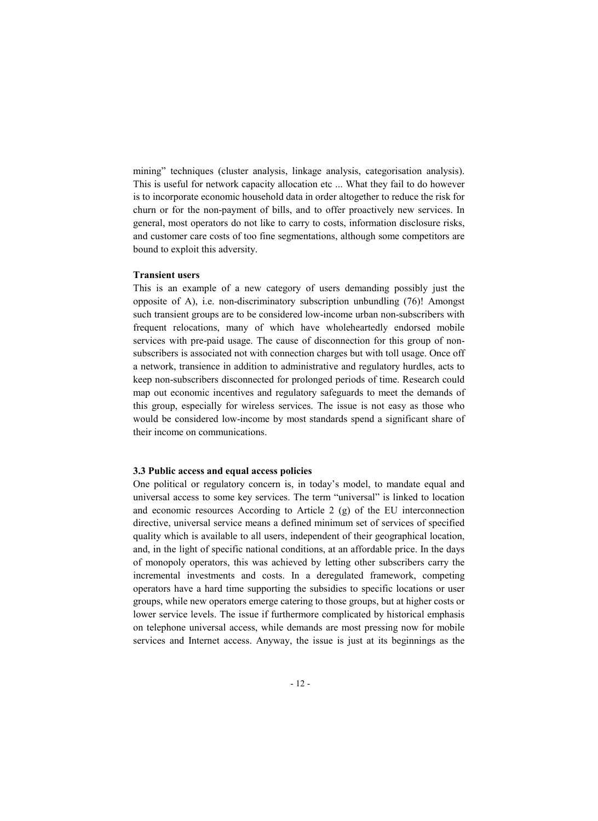mining" techniques (cluster analysis, linkage analysis, categorisation analysis). This is useful for network capacity allocation etc ... What they fail to do however is to incorporate economic household data in order altogether to reduce the risk for churn or for the non-payment of bills, and to offer proactively new services. In general, most operators do not like to carry to costs, information disclosure risks, and customer care costs of too fine segmentations, although some competitors are bound to exploit this adversity.

#### Transient users

This is an example of a new category of users demanding possibly just the opposite of A), i.e. non-discriminatory subscription unbundling (76)! Amongst such transient groups are to be considered low-income urban non-subscribers with frequent relocations, many of which have wholeheartedly endorsed mobile services with pre-paid usage. The cause of disconnection for this group of nonsubscribers is associated not with connection charges but with toll usage. Once off a network, transience in addition to administrative and regulatory hurdles, acts to keep non-subscribers disconnected for prolonged periods of time. Research could map out economic incentives and regulatory safeguards to meet the demands of this group, especially for wireless services. The issue is not easy as those who would be considered low-income by most standards spend a significant share of their income on communications.

#### 3.3 Public access and equal access policies

One political or regulatory concern is, in today's model, to mandate equal and universal access to some key services. The term "universal" is linked to location and economic resources According to Article 2 (g) of the EU interconnection directive, universal service means a defined minimum set of services of specified quality which is available to all users, independent of their geographical location, and, in the light of specific national conditions, at an affordable price. In the days of monopoly operators, this was achieved by letting other subscribers carry the incremental investments and costs. In a deregulated framework, competing operators have a hard time supporting the subsidies to specific locations or user groups, while new operators emerge catering to those groups, but at higher costs or lower service levels. The issue if furthermore complicated by historical emphasis on telephone universal access, while demands are most pressing now for mobile services and Internet access. Anyway, the issue is just at its beginnings as the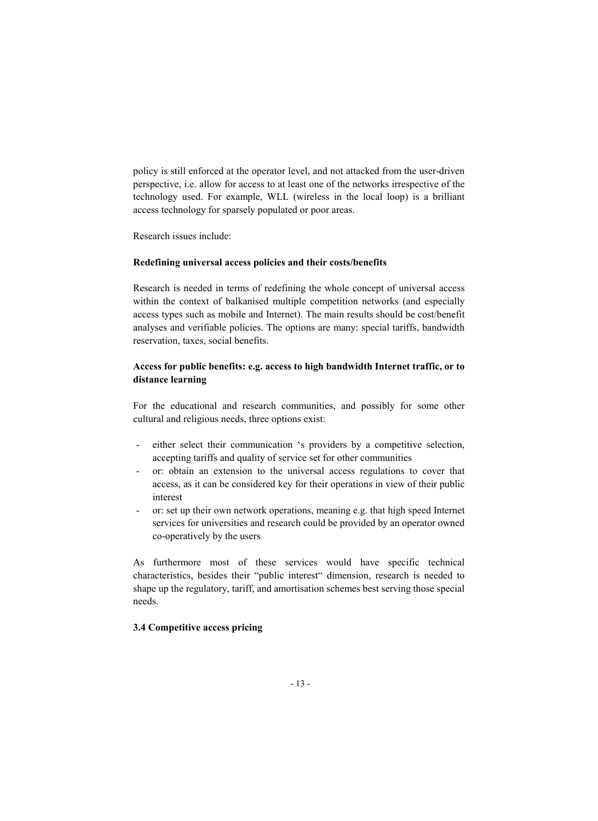policy is still enforced at the operator level, and not attacked from the user-driven perspective, i.e. allow for access to at least one of the networks irrespective of the technology used. For example, WLL (wireless in the local loop) is a brilliant access technology for sparsely populated or poor areas.

Research issues include:

# Redefining universal access policies and their costs/benefits

Research is needed in terms of redefining the whole concept of universal access within the context of balkanised multiple competition networks (and especially access types such as mobile and Internet). The main results should be cost/benefit analyses and verifiable policies. The options are many: special tariffs, bandwidth reservation, taxes, social benefits.

# Access for public benefits: e.g. access to high bandwidth Internet traffic, or to distance learning

For the educational and research communities, and possibly for some other cultural and religious needs, three options exist:

- either select their communication 's providers by a competitive selection, accepting tariffs and quality of service set for other communities
- or: obtain an extension to the universal access regulations to cover that access, as it can be considered key for their operations in view of their public interest
- or: set up their own network operations, meaning e.g. that high speed Internet services for universities and research could be provided by an operator owned co-operatively by the users

As furthermore most of these services would have specific technical characteristics, besides their "public interest" dimension, research is needed to shape up the regulatory, tariff, and amortisation schemes best serving those special needs.

# 3.4 Competitive access pricing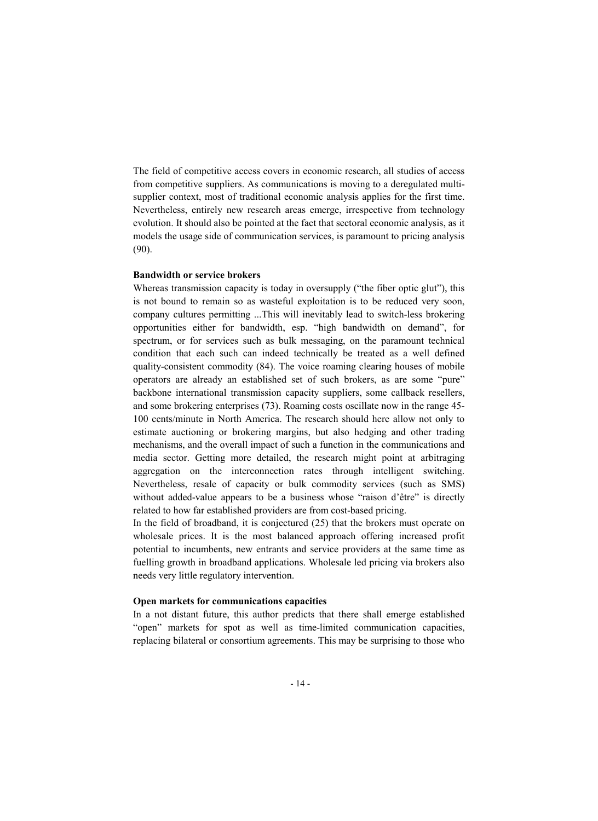The field of competitive access covers in economic research, all studies of access from competitive suppliers. As communications is moving to a deregulated multisupplier context, most of traditional economic analysis applies for the first time. Nevertheless, entirely new research areas emerge, irrespective from technology evolution. It should also be pointed at the fact that sectoral economic analysis, as it models the usage side of communication services, is paramount to pricing analysis (90).

### Bandwidth or service brokers

Whereas transmission capacity is today in oversupply ("the fiber optic glut"), this is not bound to remain so as wasteful exploitation is to be reduced very soon, company cultures permitting ...This will inevitably lead to switch-less brokering opportunities either for bandwidth, esp. "high bandwidth on demand", for spectrum, or for services such as bulk messaging, on the paramount technical condition that each such can indeed technically be treated as a well defined quality-consistent commodity (84). The voice roaming clearing houses of mobile operators are already an established set of such brokers, as are some "pure" backbone international transmission capacity suppliers, some callback resellers, and some brokering enterprises (73). Roaming costs oscillate now in the range 45- 100 cents/minute in North America. The research should here allow not only to estimate auctioning or brokering margins, but also hedging and other trading mechanisms, and the overall impact of such a function in the communications and media sector. Getting more detailed, the research might point at arbitraging aggregation on the interconnection rates through intelligent switching. Nevertheless, resale of capacity or bulk commodity services (such as SMS) without added-value appears to be a business whose "raison d'être" is directly related to how far established providers are from cost-based pricing.

In the field of broadband, it is conjectured (25) that the brokers must operate on wholesale prices. It is the most balanced approach offering increased profit potential to incumbents, new entrants and service providers at the same time as fuelling growth in broadband applications. Wholesale led pricing via brokers also needs very little regulatory intervention.

## Open markets for communications capacities

In a not distant future, this author predicts that there shall emerge established "open" markets for spot as well as time-limited communication capacities, replacing bilateral or consortium agreements. This may be surprising to those who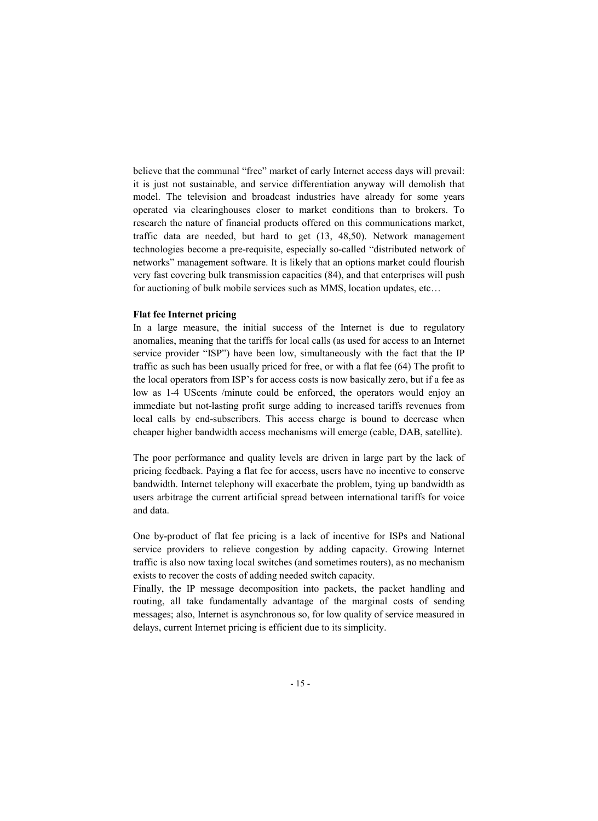believe that the communal "free" market of early Internet access days will prevail: it is just not sustainable, and service differentiation anyway will demolish that model. The television and broadcast industries have already for some years operated via clearinghouses closer to market conditions than to brokers. To research the nature of financial products offered on this communications market, traffic data are needed, but hard to get (13, 48,50). Network management technologies become a pre-requisite, especially so-called "distributed network of networks" management software. It is likely that an options market could flourish very fast covering bulk transmission capacities (84), and that enterprises will push for auctioning of bulk mobile services such as MMS, location updates, etc…

## Flat fee Internet pricing

In a large measure, the initial success of the Internet is due to regulatory anomalies, meaning that the tariffs for local calls (as used for access to an Internet service provider "ISP") have been low, simultaneously with the fact that the IP traffic as such has been usually priced for free, or with a flat fee (64) The profit to the local operators from ISP's for access costs is now basically zero, but if a fee as low as 1-4 UScents /minute could be enforced, the operators would enjoy an immediate but not-lasting profit surge adding to increased tariffs revenues from local calls by end-subscribers. This access charge is bound to decrease when cheaper higher bandwidth access mechanisms will emerge (cable, DAB, satellite).

The poor performance and quality levels are driven in large part by the lack of pricing feedback. Paying a flat fee for access, users have no incentive to conserve bandwidth. Internet telephony will exacerbate the problem, tying up bandwidth as users arbitrage the current artificial spread between international tariffs for voice and data.

One by-product of flat fee pricing is a lack of incentive for ISPs and National service providers to relieve congestion by adding capacity. Growing Internet traffic is also now taxing local switches (and sometimes routers), as no mechanism exists to recover the costs of adding needed switch capacity.

Finally, the IP message decomposition into packets, the packet handling and routing, all take fundamentally advantage of the marginal costs of sending messages; also, Internet is asynchronous so, for low quality of service measured in delays, current Internet pricing is efficient due to its simplicity.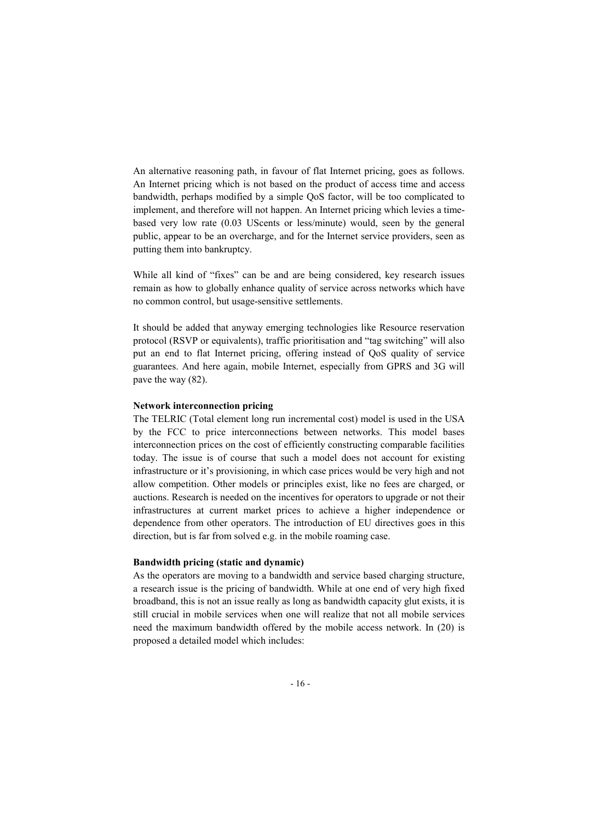An alternative reasoning path, in favour of flat Internet pricing, goes as follows. An Internet pricing which is not based on the product of access time and access bandwidth, perhaps modified by a simple QoS factor, will be too complicated to implement, and therefore will not happen. An Internet pricing which levies a timebased very low rate (0.03 UScents or less/minute) would, seen by the general public, appear to be an overcharge, and for the Internet service providers, seen as putting them into bankruptcy.

While all kind of "fixes" can be and are being considered, key research issues remain as how to globally enhance quality of service across networks which have no common control, but usage-sensitive settlements.

It should be added that anyway emerging technologies like Resource reservation protocol (RSVP or equivalents), traffic prioritisation and "tag switching" will also put an end to flat Internet pricing, offering instead of QoS quality of service guarantees. And here again, mobile Internet, especially from GPRS and 3G will pave the way (82).

## Network interconnection pricing

The TELRIC (Total element long run incremental cost) model is used in the USA by the FCC to price interconnections between networks. This model bases interconnection prices on the cost of efficiently constructing comparable facilities today. The issue is of course that such a model does not account for existing infrastructure or it's provisioning, in which case prices would be very high and not allow competition. Other models or principles exist, like no fees are charged, or auctions. Research is needed on the incentives for operators to upgrade or not their infrastructures at current market prices to achieve a higher independence or dependence from other operators. The introduction of EU directives goes in this direction, but is far from solved e.g. in the mobile roaming case.

## Bandwidth pricing (static and dynamic)

As the operators are moving to a bandwidth and service based charging structure, a research issue is the pricing of bandwidth. While at one end of very high fixed broadband, this is not an issue really as long as bandwidth capacity glut exists, it is still crucial in mobile services when one will realize that not all mobile services need the maximum bandwidth offered by the mobile access network. In (20) is proposed a detailed model which includes: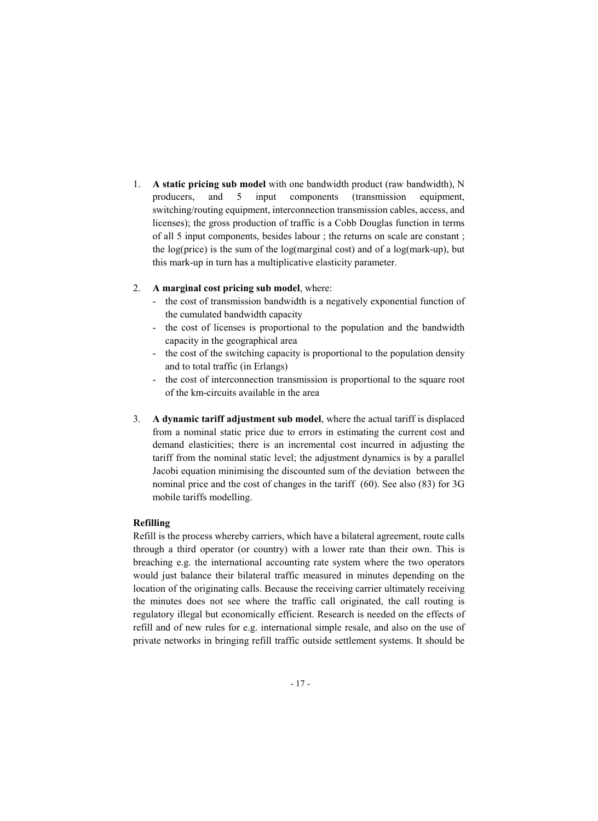- 1. A static pricing sub model with one bandwidth product (raw bandwidth), N producers, and 5 input components (transmission equipment, switching/routing equipment, interconnection transmission cables, access, and licenses); the gross production of traffic is a Cobb Douglas function in terms of all 5 input components, besides labour ; the returns on scale are constant ; the log(price) is the sum of the log(marginal cost) and of a log(mark-up), but this mark-up in turn has a multiplicative elasticity parameter.
- 2. A marginal cost pricing sub model, where:
	- the cost of transmission bandwidth is a negatively exponential function of the cumulated bandwidth capacity
	- the cost of licenses is proportional to the population and the bandwidth capacity in the geographical area
	- the cost of the switching capacity is proportional to the population density and to total traffic (in Erlangs)
	- the cost of interconnection transmission is proportional to the square root of the km-circuits available in the area
- 3. A dynamic tariff adjustment sub model, where the actual tariff is displaced from a nominal static price due to errors in estimating the current cost and demand elasticities; there is an incremental cost incurred in adjusting the tariff from the nominal static level; the adjustment dynamics is by a parallel Jacobi equation minimising the discounted sum of the deviation between the nominal price and the cost of changes in the tariff (60). See also (83) for 3G mobile tariffs modelling.

# Refilling

Refill is the process whereby carriers, which have a bilateral agreement, route calls through a third operator (or country) with a lower rate than their own. This is breaching e.g. the international accounting rate system where the two operators would just balance their bilateral traffic measured in minutes depending on the location of the originating calls. Because the receiving carrier ultimately receiving the minutes does not see where the traffic call originated, the call routing is regulatory illegal but economically efficient. Research is needed on the effects of refill and of new rules for e.g. international simple resale, and also on the use of private networks in bringing refill traffic outside settlement systems. It should be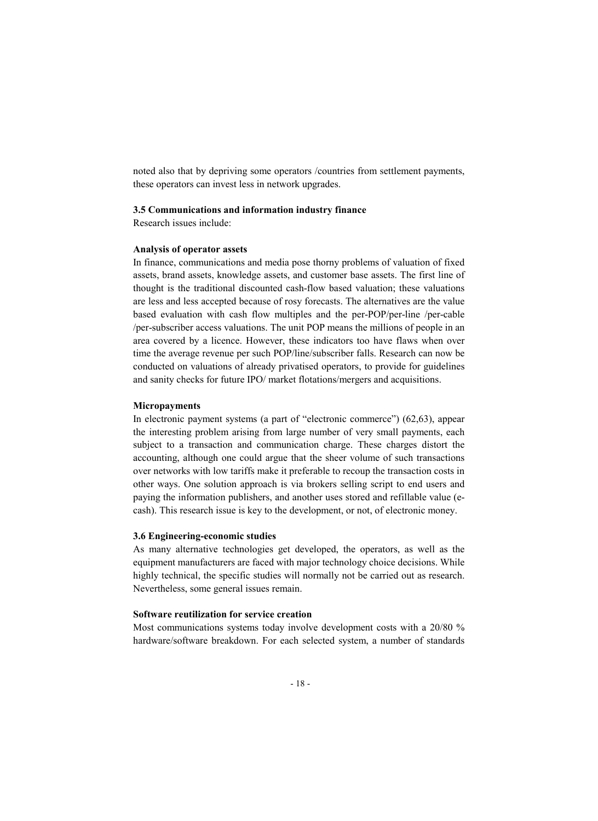noted also that by depriving some operators /countries from settlement payments, these operators can invest less in network upgrades.

#### 3.5 Communications and information industry finance

Research issues include:

## Analysis of operator assets

In finance, communications and media pose thorny problems of valuation of fixed assets, brand assets, knowledge assets, and customer base assets. The first line of thought is the traditional discounted cash-flow based valuation; these valuations are less and less accepted because of rosy forecasts. The alternatives are the value based evaluation with cash flow multiples and the per-POP/per-line /per-cable /per-subscriber access valuations. The unit POP means the millions of people in an area covered by a licence. However, these indicators too have flaws when over time the average revenue per such POP/line/subscriber falls. Research can now be conducted on valuations of already privatised operators, to provide for guidelines and sanity checks for future IPO/ market flotations/mergers and acquisitions.

#### Micropayments

In electronic payment systems (a part of "electronic commerce") (62,63), appear the interesting problem arising from large number of very small payments, each subject to a transaction and communication charge. These charges distort the accounting, although one could argue that the sheer volume of such transactions over networks with low tariffs make it preferable to recoup the transaction costs in other ways. One solution approach is via brokers selling script to end users and paying the information publishers, and another uses stored and refillable value (ecash). This research issue is key to the development, or not, of electronic money.

## 3.6 Engineering-economic studies

As many alternative technologies get developed, the operators, as well as the equipment manufacturers are faced with major technology choice decisions. While highly technical, the specific studies will normally not be carried out as research. Nevertheless, some general issues remain.

#### Software reutilization for service creation

Most communications systems today involve development costs with a 20/80 % hardware/software breakdown. For each selected system, a number of standards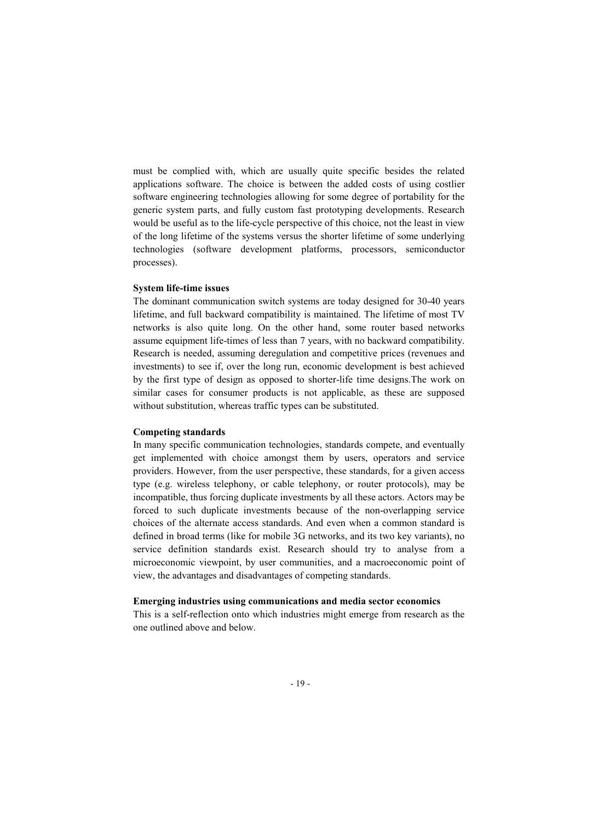must be complied with, which are usually quite specific besides the related applications software. The choice is between the added costs of using costlier software engineering technologies allowing for some degree of portability for the generic system parts, and fully custom fast prototyping developments. Research would be useful as to the life-cycle perspective of this choice, not the least in view of the long lifetime of the systems versus the shorter lifetime of some underlying technologies (software development platforms, processors, semiconductor processes).

#### System life-time issues

The dominant communication switch systems are today designed for 30-40 years lifetime, and full backward compatibility is maintained. The lifetime of most TV networks is also quite long. On the other hand, some router based networks assume equipment life-times of less than 7 years, with no backward compatibility. Research is needed, assuming deregulation and competitive prices (revenues and investments) to see if, over the long run, economic development is best achieved by the first type of design as opposed to shorter-life time designs.The work on similar cases for consumer products is not applicable, as these are supposed without substitution, whereas traffic types can be substituted.

## Competing standards

In many specific communication technologies, standards compete, and eventually get implemented with choice amongst them by users, operators and service providers. However, from the user perspective, these standards, for a given access type (e.g. wireless telephony, or cable telephony, or router protocols), may be incompatible, thus forcing duplicate investments by all these actors. Actors may be forced to such duplicate investments because of the non-overlapping service choices of the alternate access standards. And even when a common standard is defined in broad terms (like for mobile 3G networks, and its two key variants), no service definition standards exist. Research should try to analyse from a microeconomic viewpoint, by user communities, and a macroeconomic point of view, the advantages and disadvantages of competing standards.

## Emerging industries using communications and media sector economics

This is a self-reflection onto which industries might emerge from research as the one outlined above and below.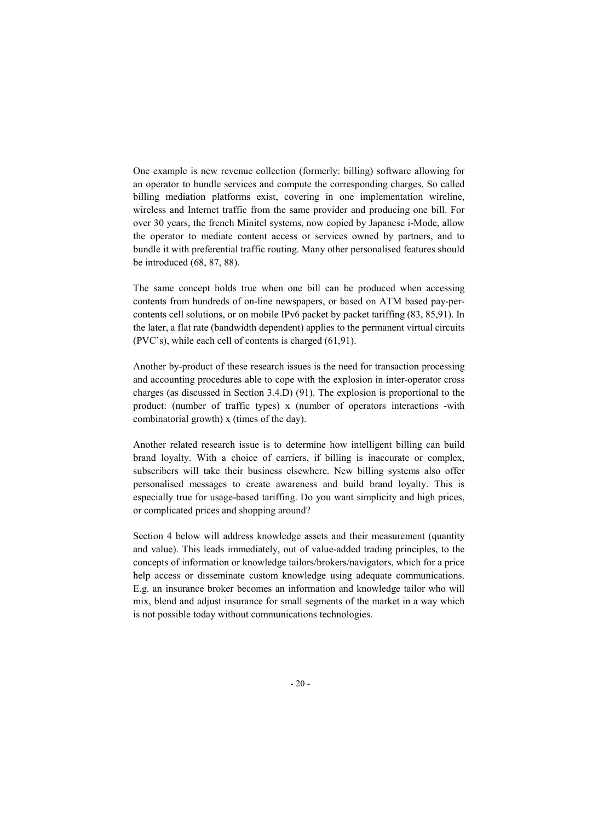One example is new revenue collection (formerly: billing) software allowing for an operator to bundle services and compute the corresponding charges. So called billing mediation platforms exist, covering in one implementation wireline, wireless and Internet traffic from the same provider and producing one bill. For over 30 years, the french Minitel systems, now copied by Japanese i-Mode, allow the operator to mediate content access or services owned by partners, and to bundle it with preferential traffic routing. Many other personalised features should be introduced (68, 87, 88).

The same concept holds true when one bill can be produced when accessing contents from hundreds of on-line newspapers, or based on ATM based pay-percontents cell solutions, or on mobile IPv6 packet by packet tariffing (83, 85,91). In the later, a flat rate (bandwidth dependent) applies to the permanent virtual circuits (PVC's), while each cell of contents is charged (61,91).

Another by-product of these research issues is the need for transaction processing and accounting procedures able to cope with the explosion in inter-operator cross charges (as discussed in Section 3.4.D) (91). The explosion is proportional to the product: (number of traffic types) x (number of operators interactions -with combinatorial growth) x (times of the day).

Another related research issue is to determine how intelligent billing can build brand loyalty. With a choice of carriers, if billing is inaccurate or complex, subscribers will take their business elsewhere. New billing systems also offer personalised messages to create awareness and build brand loyalty. This is especially true for usage-based tariffing. Do you want simplicity and high prices, or complicated prices and shopping around?

Section 4 below will address knowledge assets and their measurement (quantity and value). This leads immediately, out of value-added trading principles, to the concepts of information or knowledge tailors/brokers/navigators, which for a price help access or disseminate custom knowledge using adequate communications. E.g. an insurance broker becomes an information and knowledge tailor who will mix, blend and adjust insurance for small segments of the market in a way which is not possible today without communications technologies.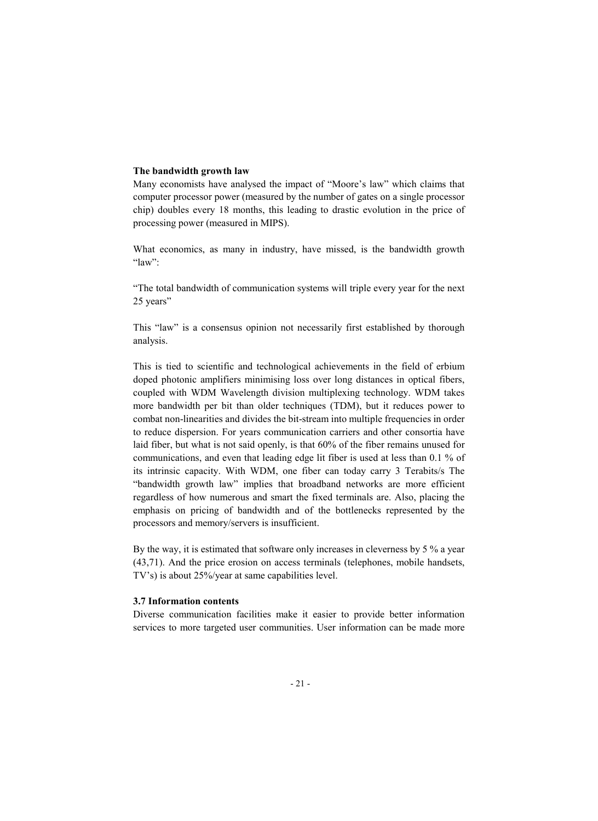## The bandwidth growth law

Many economists have analysed the impact of "Moore's law" which claims that computer processor power (measured by the number of gates on a single processor chip) doubles every 18 months, this leading to drastic evolution in the price of processing power (measured in MIPS).

What economics, as many in industry, have missed, is the bandwidth growth "law":

"The total bandwidth of communication systems will triple every year for the next 25 years"

This "law" is a consensus opinion not necessarily first established by thorough analysis.

This is tied to scientific and technological achievements in the field of erbium doped photonic amplifiers minimising loss over long distances in optical fibers, coupled with WDM Wavelength division multiplexing technology. WDM takes more bandwidth per bit than older techniques (TDM), but it reduces power to combat non-linearities and divides the bit-stream into multiple frequencies in order to reduce dispersion. For years communication carriers and other consortia have laid fiber, but what is not said openly, is that 60% of the fiber remains unused for communications, and even that leading edge lit fiber is used at less than 0.1 % of its intrinsic capacity. With WDM, one fiber can today carry 3 Terabits/s The "bandwidth growth law" implies that broadband networks are more efficient regardless of how numerous and smart the fixed terminals are. Also, placing the emphasis on pricing of bandwidth and of the bottlenecks represented by the processors and memory/servers is insufficient.

By the way, it is estimated that software only increases in cleverness by 5 % a year (43,71). And the price erosion on access terminals (telephones, mobile handsets, TV's) is about 25%/year at same capabilities level.

### 3.7 Information contents

Diverse communication facilities make it easier to provide better information services to more targeted user communities. User information can be made more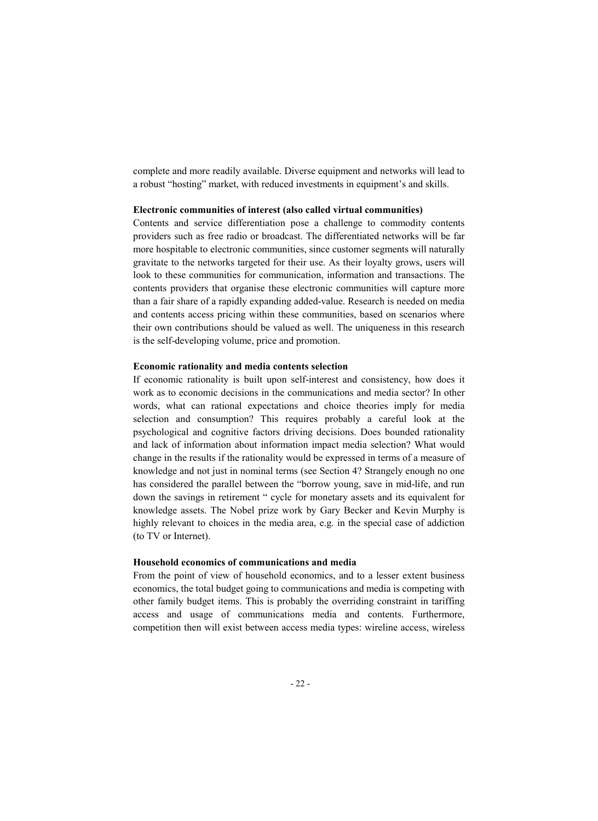complete and more readily available. Diverse equipment and networks will lead to a robust "hosting" market, with reduced investments in equipment's and skills.

#### Electronic communities of interest (also called virtual communities)

Contents and service differentiation pose a challenge to commodity contents providers such as free radio or broadcast. The differentiated networks will be far more hospitable to electronic communities, since customer segments will naturally gravitate to the networks targeted for their use. As their loyalty grows, users will look to these communities for communication, information and transactions. The contents providers that organise these electronic communities will capture more than a fair share of a rapidly expanding added-value. Research is needed on media and contents access pricing within these communities, based on scenarios where their own contributions should be valued as well. The uniqueness in this research is the self-developing volume, price and promotion.

#### Economic rationality and media contents selection

If economic rationality is built upon self-interest and consistency, how does it work as to economic decisions in the communications and media sector? In other words, what can rational expectations and choice theories imply for media selection and consumption? This requires probably a careful look at the psychological and cognitive factors driving decisions. Does bounded rationality and lack of information about information impact media selection? What would change in the results if the rationality would be expressed in terms of a measure of knowledge and not just in nominal terms (see Section 4? Strangely enough no one has considered the parallel between the "borrow young, save in mid-life, and run down the savings in retirement " cycle for monetary assets and its equivalent for knowledge assets. The Nobel prize work by Gary Becker and Kevin Murphy is highly relevant to choices in the media area, e.g. in the special case of addiction (to TV or Internet).

## Household economics of communications and media

From the point of view of household economics, and to a lesser extent business economics, the total budget going to communications and media is competing with other family budget items. This is probably the overriding constraint in tariffing access and usage of communications media and contents. Furthermore, competition then will exist between access media types: wireline access, wireless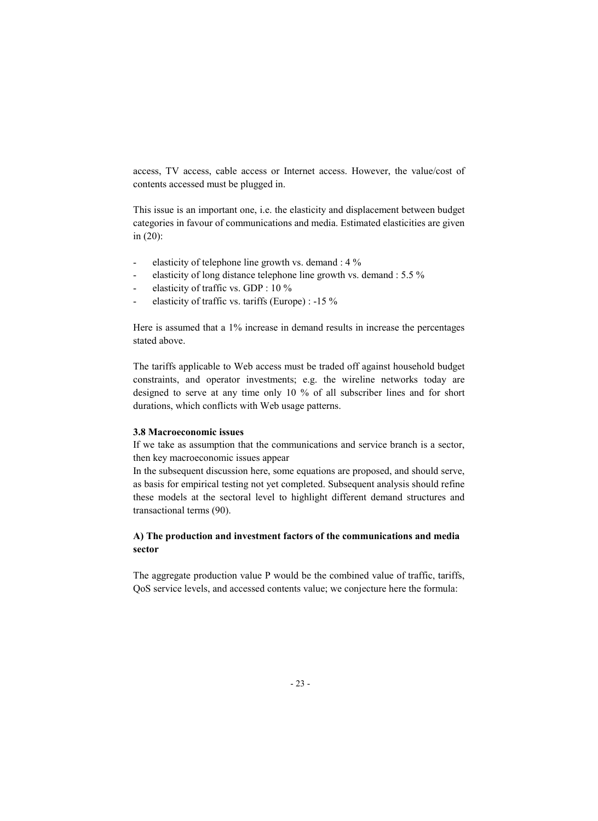access, TV access, cable access or Internet access. However, the value/cost of contents accessed must be plugged in.

This issue is an important one, i.e. the elasticity and displacement between budget categories in favour of communications and media. Estimated elasticities are given in (20):

- elasticity of telephone line growth vs. demand : 4 %
- elasticity of long distance telephone line growth vs. demand : 5.5 %
- elasticity of traffic vs. GDP : 10 %
- elasticity of traffic vs. tariffs (Europe) : -15 %

Here is assumed that a 1% increase in demand results in increase the percentages stated above.

The tariffs applicable to Web access must be traded off against household budget constraints, and operator investments; e.g. the wireline networks today are designed to serve at any time only 10 % of all subscriber lines and for short durations, which conflicts with Web usage patterns.

## 3.8 Macroeconomic issues

If we take as assumption that the communications and service branch is a sector, then key macroeconomic issues appear

In the subsequent discussion here, some equations are proposed, and should serve, as basis for empirical testing not yet completed. Subsequent analysis should refine these models at the sectoral level to highlight different demand structures and transactional terms (90).

# A) The production and investment factors of the communications and media sector

The aggregate production value P would be the combined value of traffic, tariffs, QoS service levels, and accessed contents value; we conjecture here the formula: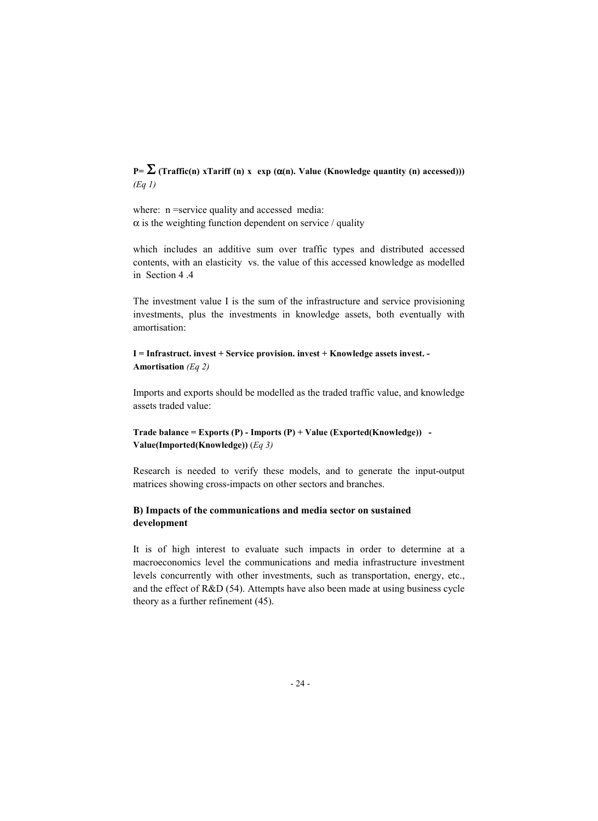# P=  $\Sigma$  (Traffic(n) xTariff (n) x exp ( $\alpha$ (n). Value (Knowledge quantity (n) accessed))) *(Eq 1)*

where:  $n$  =service quality and accessed media:  $\alpha$  is the weighting function dependent on service / quality

which includes an additive sum over traffic types and distributed accessed contents, with an elasticity vs. the value of this accessed knowledge as modelled in Section 4 4

The investment value I is the sum of the infrastructure and service provisioning investments, plus the investments in knowledge assets, both eventually with amortisation:

# I = Infrastruct. invest + Service provision. invest + Knowledge assets invest. - Amortisation *(Eq 2)*

Imports and exports should be modelled as the traded traffic value, and knowledge assets traded value:

# Trade balance = Exports (P) - Imports (P) + Value (Exported(Knowledge)) -Value(Imported(Knowledge)) (*Eq 3)*

Research is needed to verify these models, and to generate the input-output matrices showing cross-impacts on other sectors and branches.

# B) Impacts of the communications and media sector on sustained development

It is of high interest to evaluate such impacts in order to determine at a macroeconomics level the communications and media infrastructure investment levels concurrently with other investments, such as transportation, energy, etc., and the effect of R&D (54). Attempts have also been made at using business cycle theory as a further refinement (45).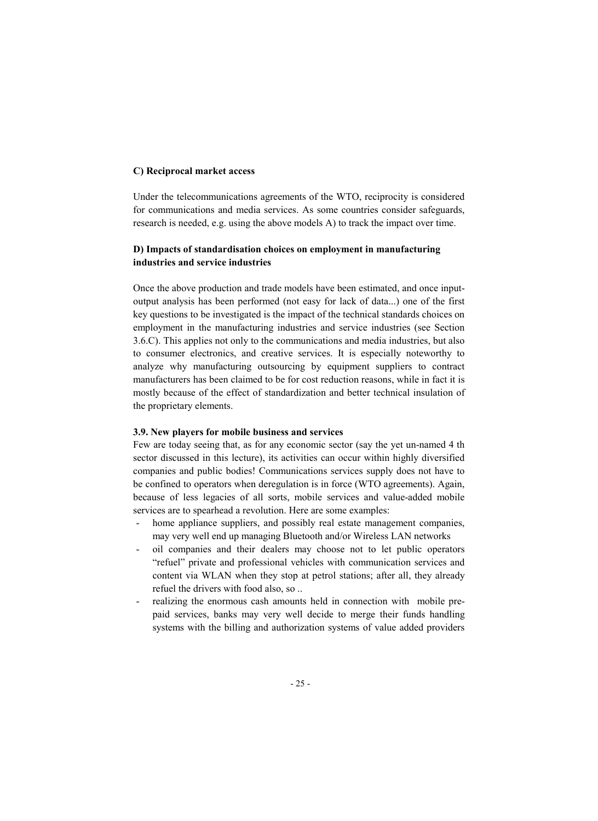## C) Reciprocal market access

Under the telecommunications agreements of the WTO, reciprocity is considered for communications and media services. As some countries consider safeguards, research is needed, e.g. using the above models A) to track the impact over time.

# D) Impacts of standardisation choices on employment in manufacturing industries and service industries

Once the above production and trade models have been estimated, and once inputoutput analysis has been performed (not easy for lack of data...) one of the first key questions to be investigated is the impact of the technical standards choices on employment in the manufacturing industries and service industries (see Section 3.6.C). This applies not only to the communications and media industries, but also to consumer electronics, and creative services. It is especially noteworthy to analyze why manufacturing outsourcing by equipment suppliers to contract manufacturers has been claimed to be for cost reduction reasons, while in fact it is mostly because of the effect of standardization and better technical insulation of the proprietary elements.

## 3.9. New players for mobile business and services

Few are today seeing that, as for any economic sector (say the yet un-named 4 th sector discussed in this lecture), its activities can occur within highly diversified companies and public bodies! Communications services supply does not have to be confined to operators when deregulation is in force (WTO agreements). Again, because of less legacies of all sorts, mobile services and value-added mobile services are to spearhead a revolution. Here are some examples:

- home appliance suppliers, and possibly real estate management companies, may very well end up managing Bluetooth and/or Wireless LAN networks
- oil companies and their dealers may choose not to let public operators "refuel" private and professional vehicles with communication services and content via WLAN when they stop at petrol stations; after all, they already refuel the drivers with food also, so ..
- realizing the enormous cash amounts held in connection with mobile prepaid services, banks may very well decide to merge their funds handling systems with the billing and authorization systems of value added providers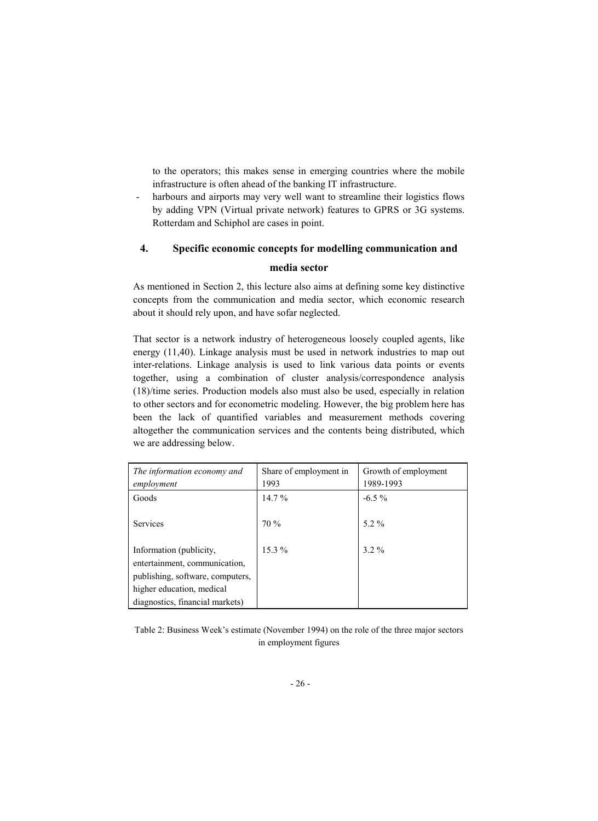to the operators; this makes sense in emerging countries where the mobile infrastructure is often ahead of the banking IT infrastructure.

harbours and airports may very well want to streamline their logistics flows by adding VPN (Virtual private network) features to GPRS or 3G systems. Rotterdam and Schiphol are cases in point.

# 4. Specific economic concepts for modelling communication and media sector

As mentioned in Section 2, this lecture also aims at defining some key distinctive concepts from the communication and media sector, which economic research about it should rely upon, and have sofar neglected.

That sector is a network industry of heterogeneous loosely coupled agents, like energy (11,40). Linkage analysis must be used in network industries to map out inter-relations. Linkage analysis is used to link various data points or events together, using a combination of cluster analysis/correspondence analysis (18)/time series. Production models also must also be used, especially in relation to other sectors and for econometric modeling. However, the big problem here has been the lack of quantified variables and measurement methods covering altogether the communication services and the contents being distributed, which we are addressing below.

| The information economy and      | Share of employment in | Growth of employment |
|----------------------------------|------------------------|----------------------|
| employment                       | 1993                   | 1989-1993            |
| Goods                            | $14.7\%$               | $-6.5\%$             |
|                                  |                        |                      |
| <b>Services</b>                  | $70\%$                 | $5.2\%$              |
|                                  |                        |                      |
| Information (publicity,          | $15.3\%$               | $32\%$               |
| entertainment, communication,    |                        |                      |
| publishing, software, computers, |                        |                      |
| higher education, medical        |                        |                      |
| diagnostics, financial markets)  |                        |                      |

Table 2: Business Week's estimate (November 1994) on the role of the three major sectors in employment figures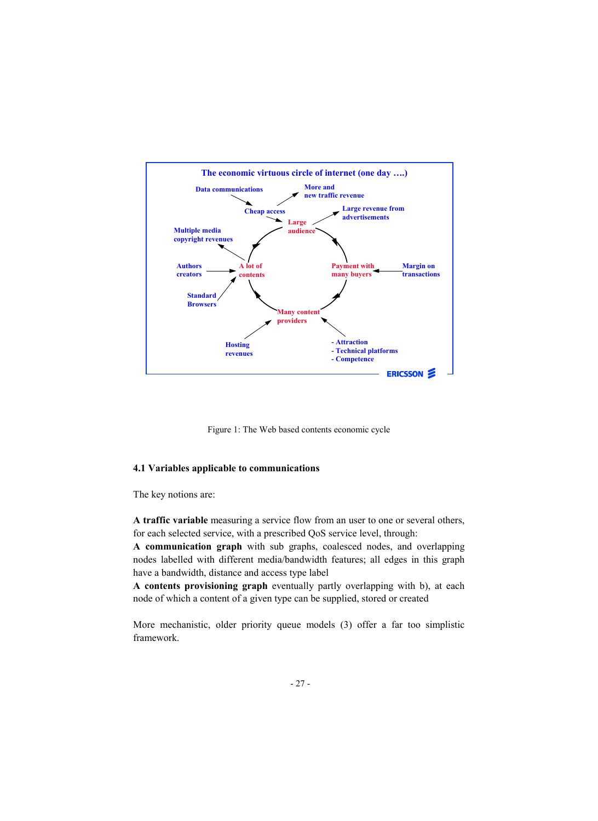

Figure 1: The Web based contents economic cycle

## 4.1 Variables applicable to communications

The key notions are:

A traffic variable measuring a service flow from an user to one or several others, for each selected service, with a prescribed QoS service level, through:

A communication graph with sub graphs, coalesced nodes, and overlapping nodes labelled with different media/bandwidth features; all edges in this graph have a bandwidth, distance and access type label

A contents provisioning graph eventually partly overlapping with b), at each node of which a content of a given type can be supplied, stored or created

More mechanistic, older priority queue models (3) offer a far too simplistic framework.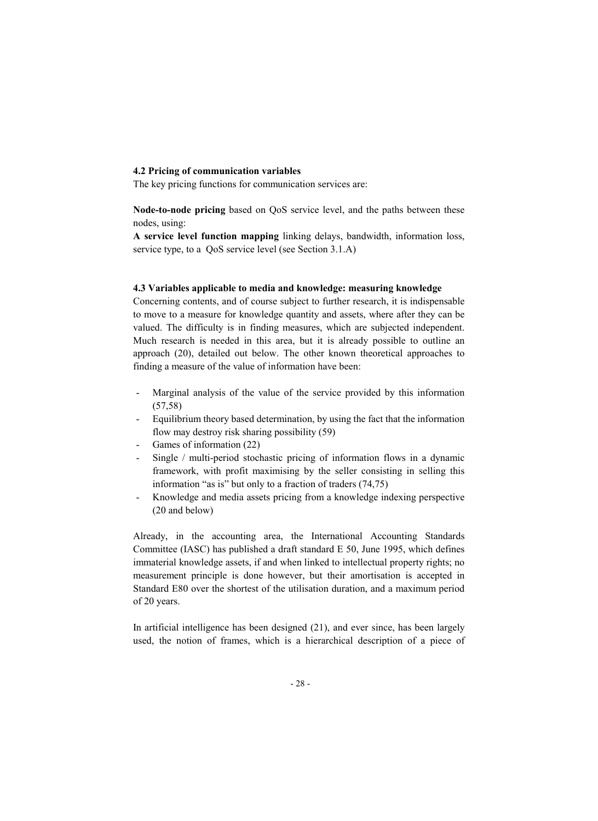## 4.2 Pricing of communication variables

The key pricing functions for communication services are:

Node-to-node pricing based on QoS service level, and the paths between these nodes, using:

A service level function mapping linking delays, bandwidth, information loss, service type, to a QoS service level (see Section 3.1.A)

## 4.3 Variables applicable to media and knowledge: measuring knowledge

Concerning contents, and of course subject to further research, it is indispensable to move to a measure for knowledge quantity and assets, where after they can be valued. The difficulty is in finding measures, which are subjected independent. Much research is needed in this area, but it is already possible to outline an approach (20), detailed out below. The other known theoretical approaches to finding a measure of the value of information have been:

- Marginal analysis of the value of the service provided by this information (57,58)
- Equilibrium theory based determination, by using the fact that the information flow may destroy risk sharing possibility (59)
- Games of information (22)
- Single / multi-period stochastic pricing of information flows in a dynamic framework, with profit maximising by the seller consisting in selling this information "as is" but only to a fraction of traders (74,75)
- Knowledge and media assets pricing from a knowledge indexing perspective (20 and below)

Already, in the accounting area, the International Accounting Standards Committee (IASC) has published a draft standard E 50, June 1995, which defines immaterial knowledge assets, if and when linked to intellectual property rights; no measurement principle is done however, but their amortisation is accepted in Standard E80 over the shortest of the utilisation duration, and a maximum period of 20 years.

In artificial intelligence has been designed (21), and ever since, has been largely used, the notion of frames, which is a hierarchical description of a piece of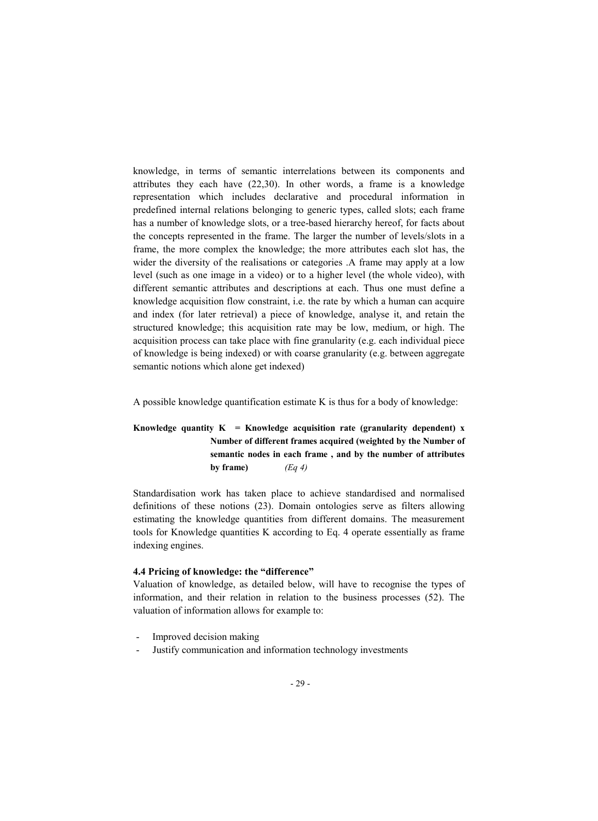knowledge, in terms of semantic interrelations between its components and attributes they each have (22,30). In other words, a frame is a knowledge representation which includes declarative and procedural information in predefined internal relations belonging to generic types, called slots; each frame has a number of knowledge slots, or a tree-based hierarchy hereof, for facts about the concepts represented in the frame. The larger the number of levels/slots in a frame, the more complex the knowledge; the more attributes each slot has, the wider the diversity of the realisations or categories .A frame may apply at a low level (such as one image in a video) or to a higher level (the whole video), with different semantic attributes and descriptions at each. Thus one must define a knowledge acquisition flow constraint, i.e. the rate by which a human can acquire and index (for later retrieval) a piece of knowledge, analyse it, and retain the structured knowledge; this acquisition rate may be low, medium, or high. The acquisition process can take place with fine granularity (e.g. each individual piece of knowledge is being indexed) or with coarse granularity (e.g. between aggregate semantic notions which alone get indexed)

A possible knowledge quantification estimate K is thus for a body of knowledge:

# Knowledge quantity  $K =$  Knowledge acquisition rate (granularity dependent) x Number of different frames acquired (weighted by the Number of semantic nodes in each frame , and by the number of attributes by frame)  $(Eq 4)$

Standardisation work has taken place to achieve standardised and normalised definitions of these notions (23). Domain ontologies serve as filters allowing estimating the knowledge quantities from different domains. The measurement tools for Knowledge quantities K according to Eq. 4 operate essentially as frame indexing engines.

## 4.4 Pricing of knowledge: the "difference"

Valuation of knowledge, as detailed below, will have to recognise the types of information, and their relation in relation to the business processes (52). The valuation of information allows for example to:

- Improved decision making
- Justify communication and information technology investments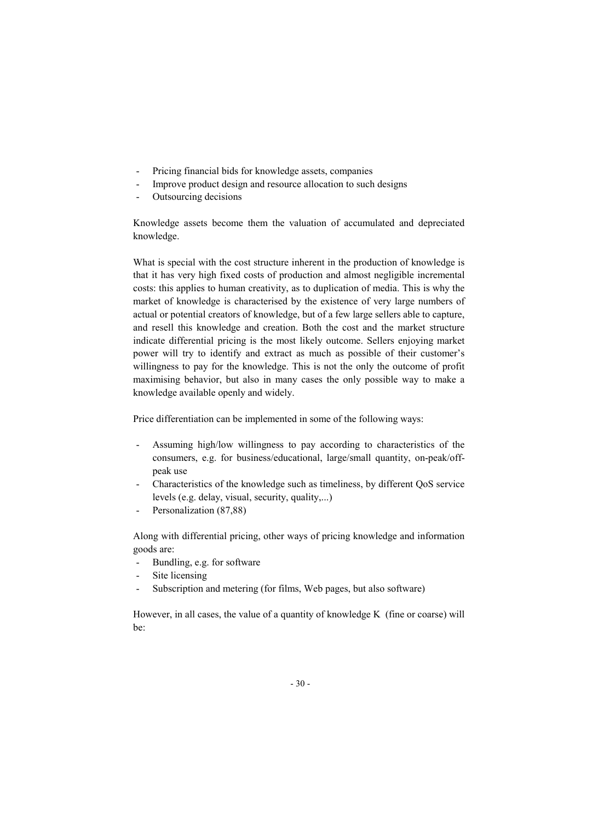- Pricing financial bids for knowledge assets, companies
- Improve product design and resource allocation to such designs
- Outsourcing decisions

Knowledge assets become them the valuation of accumulated and depreciated knowledge.

What is special with the cost structure inherent in the production of knowledge is that it has very high fixed costs of production and almost negligible incremental costs: this applies to human creativity, as to duplication of media. This is why the market of knowledge is characterised by the existence of very large numbers of actual or potential creators of knowledge, but of a few large sellers able to capture, and resell this knowledge and creation. Both the cost and the market structure indicate differential pricing is the most likely outcome. Sellers enjoying market power will try to identify and extract as much as possible of their customer's willingness to pay for the knowledge. This is not the only the outcome of profit maximising behavior, but also in many cases the only possible way to make a knowledge available openly and widely.

Price differentiation can be implemented in some of the following ways:

- Assuming high/low willingness to pay according to characteristics of the consumers, e.g. for business/educational, large/small quantity, on-peak/offpeak use
- Characteristics of the knowledge such as timeliness, by different QoS service levels (e.g. delay, visual, security, quality,...)
- Personalization (87,88)

Along with differential pricing, other ways of pricing knowledge and information goods are:

- Bundling, e.g. for software
- Site licensing
- Subscription and metering (for films, Web pages, but also software)

However, in all cases, the value of a quantity of knowledge K (fine or coarse) will be: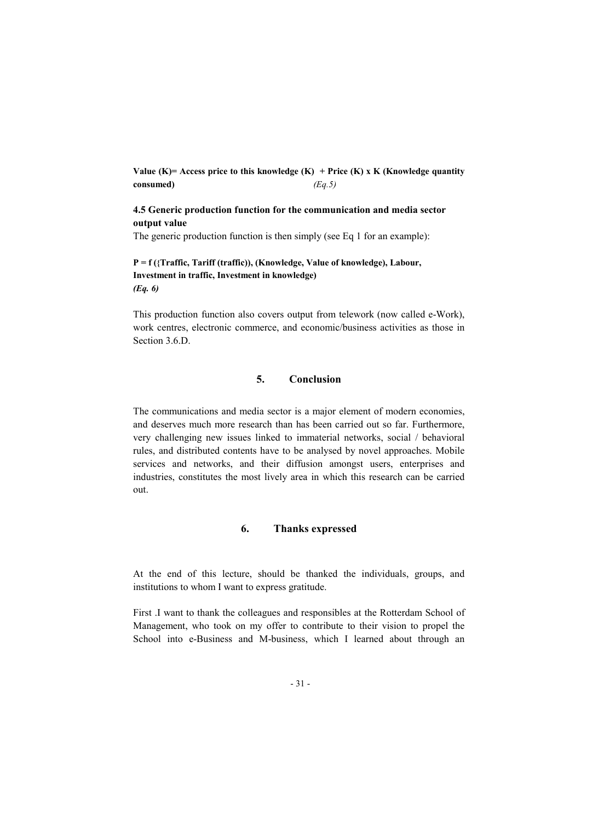Value (K)= Access price to this knowledge (K) + Price (K) x K (Knowledge quantity consumed) *(Eq.5)*

# 4.5 Generic production function for the communication and media sector output value

The generic production function is then simply (see Eq 1 for an example):

# P = f ({Traffic, Tariff (traffic)), (Knowledge, Value of knowledge), Labour, Investment in traffic, Investment in knowledge) *(Eq. 6)*

This production function also covers output from telework (now called e-Work), work centres, electronic commerce, and economic/business activities as those in Section 3.6.D.

# 5. Conclusion

The communications and media sector is a major element of modern economies, and deserves much more research than has been carried out so far. Furthermore, very challenging new issues linked to immaterial networks, social / behavioral rules, and distributed contents have to be analysed by novel approaches. Mobile services and networks, and their diffusion amongst users, enterprises and industries, constitutes the most lively area in which this research can be carried out.

## 6. Thanks expressed

At the end of this lecture, should be thanked the individuals, groups, and institutions to whom I want to express gratitude.

First .I want to thank the colleagues and responsibles at the Rotterdam School of Management, who took on my offer to contribute to their vision to propel the School into e-Business and M-business, which I learned about through an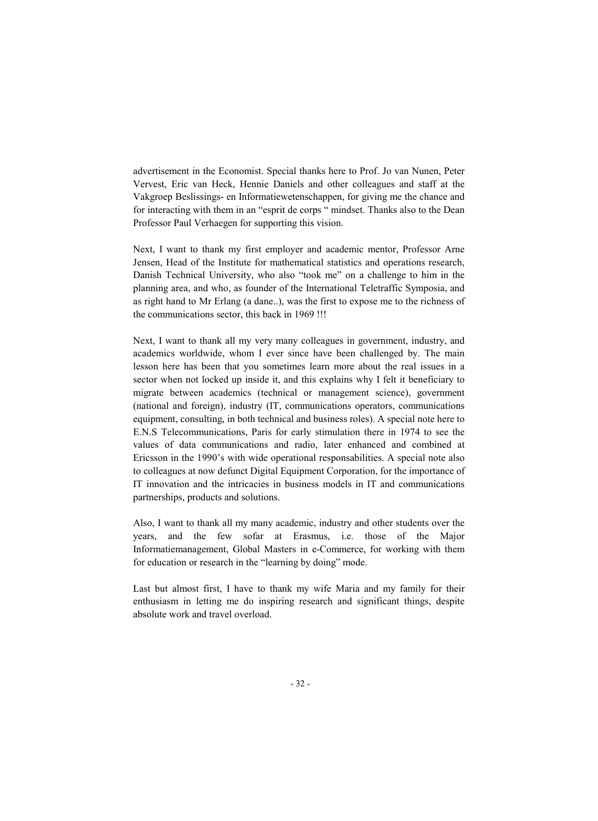advertisement in the Economist. Special thanks here to Prof. Jo van Nunen, Peter Vervest, Eric van Heck, Hennie Daniels and other colleagues and staff at the Vakgroep Beslissings- en Informatiewetenschappen, for giving me the chance and for interacting with them in an "esprit de corps " mindset. Thanks also to the Dean Professor Paul Verhaegen for supporting this vision.

Next, I want to thank my first employer and academic mentor, Professor Arne Jensen, Head of the Institute for mathematical statistics and operations research, Danish Technical University, who also "took me" on a challenge to him in the planning area, and who, as founder of the International Teletraffic Symposia, and as right hand to Mr Erlang (a dane..), was the first to expose me to the richness of the communications sector, this back in 1969 !!!

Next, I want to thank all my very many colleagues in government, industry, and academics worldwide, whom I ever since have been challenged by. The main lesson here has been that you sometimes learn more about the real issues in a sector when not locked up inside it, and this explains why I felt it beneficiary to migrate between academics (technical or management science), government (national and foreign), industry (IT, communications operators, communications equipment, consulting, in both technical and business roles). A special note here to E.N.S Telecommunications, Paris for early stimulation there in 1974 to see the values of data communications and radio, later enhanced and combined at Ericsson in the 1990's with wide operational responsabilities. A special note also to colleagues at now defunct Digital Equipment Corporation, for the importance of IT innovation and the intricacies in business models in IT and communications partnerships, products and solutions.

Also, I want to thank all my many academic, industry and other students over the years, and the few sofar at Erasmus, i.e. those of the Major Informatiemanagement, Global Masters in e-Commerce, for working with them for education or research in the "learning by doing" mode.

Last but almost first, I have to thank my wife Maria and my family for their enthusiasm in letting me do inspiring research and significant things, despite absolute work and travel overload.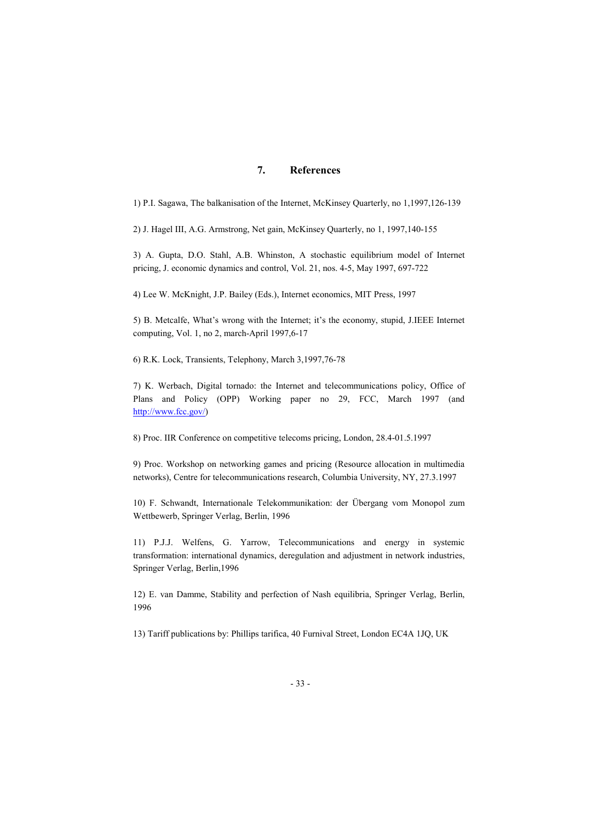# 7. References

1) P.I. Sagawa, The balkanisation of the Internet, McKinsey Quarterly, no 1,1997,126-139

2) J. Hagel III, A.G. Armstrong, Net gain, McKinsey Quarterly, no 1, 1997,140-155

3) A. Gupta, D.O. Stahl, A.B. Whinston, A stochastic equilibrium model of Internet pricing, J. economic dynamics and control, Vol. 21, nos. 4-5, May 1997, 697-722

4) Lee W. McKnight, J.P. Bailey (Eds.), Internet economics, MIT Press, 1997

5) B. Metcalfe, What's wrong with the Internet; it's the economy, stupid, J.IEEE Internet computing, Vol. 1, no 2, march-April 1997,6-17

6) R.K. Lock, Transients, Telephony, March 3,1997,76-78

7) K. Werbach, Digital tornado: the Internet and telecommunications policy, Office of Plans and Policy (OPP) Working paper no 29, FCC, March 1997 (and http://www.fcc.gov/)

8) Proc. IIR Conference on competitive telecoms pricing, London, 28.4-01.5.1997

9) Proc. Workshop on networking games and pricing (Resource allocation in multimedia networks), Centre for telecommunications research, Columbia University, NY, 27.3.1997

10) F. Schwandt, Internationale Telekommunikation: der Übergang vom Monopol zum Wettbewerb, Springer Verlag, Berlin, 1996

11) P.J.J. Welfens, G. Yarrow, Telecommunications and energy in systemic transformation: international dynamics, deregulation and adjustment in network industries, Springer Verlag, Berlin,1996

12) E. van Damme, Stability and perfection of Nash equilibria, Springer Verlag, Berlin, 1996

13) Tariff publications by: Phillips tarifica, 40 Furnival Street, London EC4A 1JQ, UK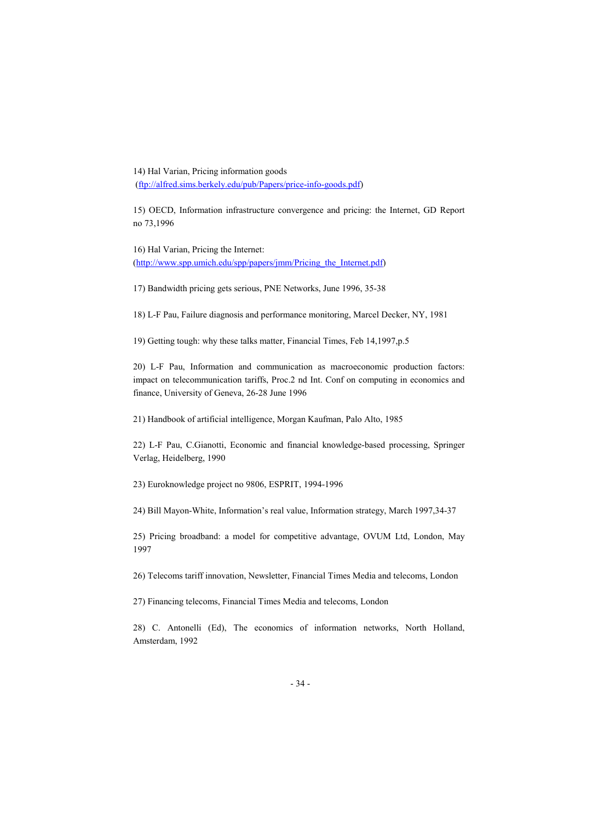14) Hal Varian, Pricing information goods (ftp://alfred.sims.berkely.edu/pub/Papers/price-info-goods.pdf)

15) OECD, Information infrastructure convergence and pricing: the Internet, GD Report no 73,1996

16) Hal Varian, Pricing the Internet: (http://www.spp.umich.edu/spp/papers/jmm/Pricing\_the\_Internet.pdf)

17) Bandwidth pricing gets serious, PNE Networks, June 1996, 35-38

18) L-F Pau, Failure diagnosis and performance monitoring, Marcel Decker, NY, 1981

19) Getting tough: why these talks matter, Financial Times, Feb 14,1997,p.5

20) L-F Pau, Information and communication as macroeconomic production factors: impact on telecommunication tariffs, Proc.2 nd Int. Conf on computing in economics and finance, University of Geneva, 26-28 June 1996

21) Handbook of artificial intelligence, Morgan Kaufman, Palo Alto, 1985

22) L-F Pau, C.Gianotti, Economic and financial knowledge-based processing, Springer Verlag, Heidelberg, 1990

23) Euroknowledge project no 9806, ESPRIT, 1994-1996

24) Bill Mayon-White, Information's real value, Information strategy, March 1997,34-37

25) Pricing broadband: a model for competitive advantage, OVUM Ltd, London, May 1997

26) Telecoms tariff innovation, Newsletter, Financial Times Media and telecoms, London

27) Financing telecoms, Financial Times Media and telecoms, London

28) C. Antonelli (Ed), The economics of information networks, North Holland, Amsterdam, 1992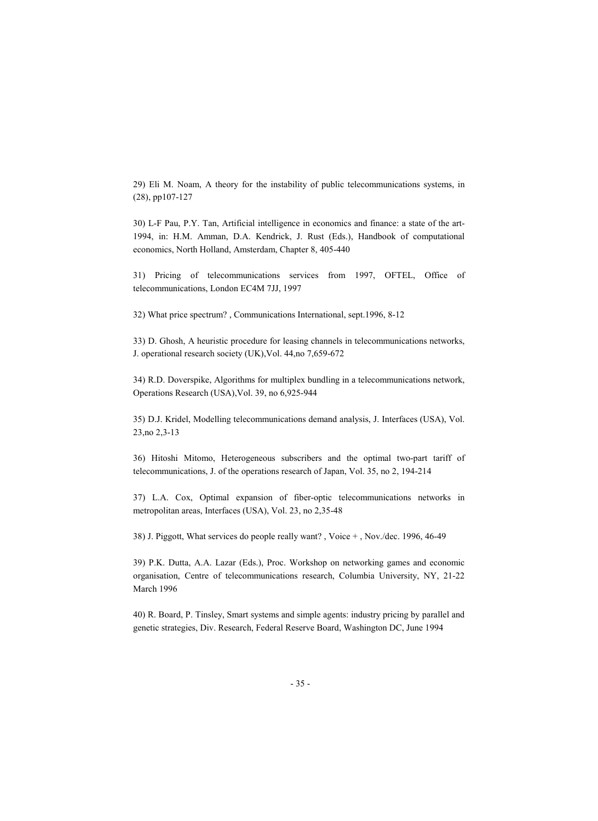29) Eli M. Noam, A theory for the instability of public telecommunications systems, in (28), pp107-127

30) L-F Pau, P.Y. Tan, Artificial intelligence in economics and finance: a state of the art-1994, in: H.M. Amman, D.A. Kendrick, J. Rust (Eds.), Handbook of computational economics, North Holland, Amsterdam, Chapter 8, 405-440

31) Pricing of telecommunications services from 1997, OFTEL, Office of telecommunications, London EC4M 7JJ, 1997

32) What price spectrum? , Communications International, sept.1996, 8-12

33) D. Ghosh, A heuristic procedure for leasing channels in telecommunications networks, J. operational research society (UK),Vol. 44,no 7,659-672

34) R.D. Doverspike, Algorithms for multiplex bundling in a telecommunications network, Operations Research (USA),Vol. 39, no 6,925-944

35) D.J. Kridel, Modelling telecommunications demand analysis, J. Interfaces (USA), Vol. 23,no 2,3-13

36) Hitoshi Mitomo, Heterogeneous subscribers and the optimal two-part tariff of telecommunications, J. of the operations research of Japan, Vol. 35, no 2, 194-214

37) L.A. Cox, Optimal expansion of fiber-optic telecommunications networks in metropolitan areas, Interfaces (USA), Vol. 23, no 2,35-48

38) J. Piggott, What services do people really want? , Voice + , Nov./dec. 1996, 46-49

39) P.K. Dutta, A.A. Lazar (Eds.), Proc. Workshop on networking games and economic organisation, Centre of telecommunications research, Columbia University, NY, 21-22 March 1996

40) R. Board, P. Tinsley, Smart systems and simple agents: industry pricing by parallel and genetic strategies, Div. Research, Federal Reserve Board, Washington DC, June 1994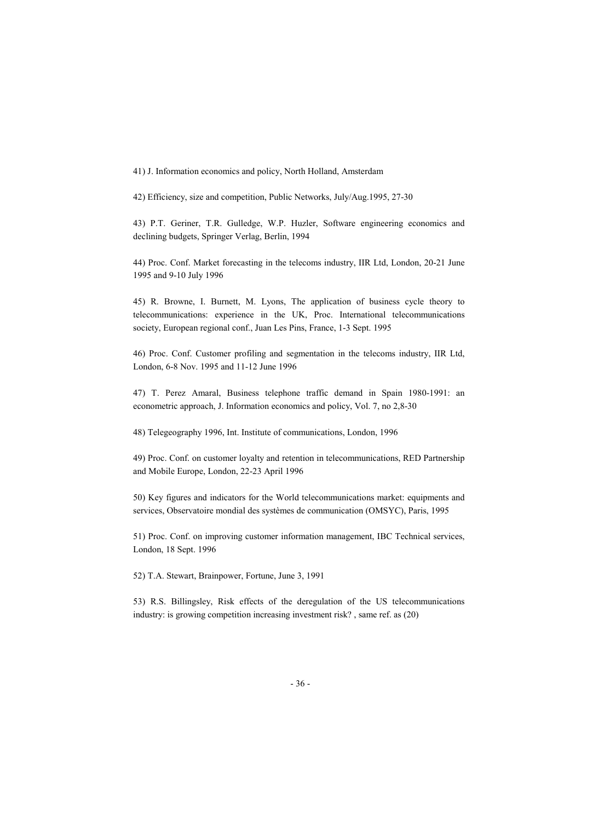41) J. Information economics and policy, North Holland, Amsterdam

42) Efficiency, size and competition, Public Networks, July/Aug.1995, 27-30

43) P.T. Geriner, T.R. Gulledge, W.P. Huzler, Software engineering economics and declining budgets, Springer Verlag, Berlin, 1994

44) Proc. Conf. Market forecasting in the telecoms industry, IIR Ltd, London, 20-21 June 1995 and 9-10 July 1996

45) R. Browne, I. Burnett, M. Lyons, The application of business cycle theory to telecommunications: experience in the UK, Proc. International telecommunications society, European regional conf., Juan Les Pins, France, 1-3 Sept. 1995

46) Proc. Conf. Customer profiling and segmentation in the telecoms industry, IIR Ltd, London, 6-8 Nov. 1995 and 11-12 June 1996

47) T. Perez Amaral, Business telephone traffic demand in Spain 1980-1991: an econometric approach, J. Information economics and policy, Vol. 7, no 2,8-30

48) Telegeography 1996, Int. Institute of communications, London, 1996

49) Proc. Conf. on customer loyalty and retention in telecommunications, RED Partnership and Mobile Europe, London, 22-23 April 1996

50) Key figures and indicators for the World telecommunications market: equipments and services, Observatoire mondial des systèmes de communication (OMSYC), Paris, 1995

51) Proc. Conf. on improving customer information management, IBC Technical services, London, 18 Sept. 1996

52) T.A. Stewart, Brainpower, Fortune, June 3, 1991

53) R.S. Billingsley, Risk effects of the deregulation of the US telecommunications industry: is growing competition increasing investment risk? , same ref. as (20)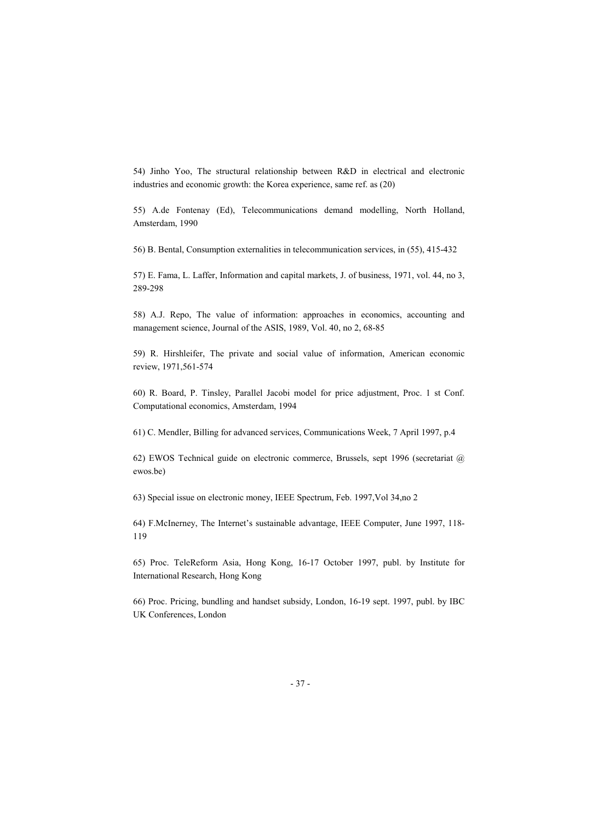54) Jinho Yoo, The structural relationship between R&D in electrical and electronic industries and economic growth: the Korea experience, same ref. as (20)

55) A.de Fontenay (Ed), Telecommunications demand modelling, North Holland, Amsterdam, 1990

56) B. Bental, Consumption externalities in telecommunication services, in (55), 415-432

57) E. Fama, L. Laffer, Information and capital markets, J. of business, 1971, vol. 44, no 3, 289-298

58) A.J. Repo, The value of information: approaches in economics, accounting and management science, Journal of the ASIS, 1989, Vol. 40, no 2, 68-85

59) R. Hirshleifer, The private and social value of information, American economic review, 1971,561-574

60) R. Board, P. Tinsley, Parallel Jacobi model for price adjustment, Proc. 1 st Conf. Computational economics, Amsterdam, 1994

61) C. Mendler, Billing for advanced services, Communications Week, 7 April 1997, p.4

62) EWOS Technical guide on electronic commerce, Brussels, sept 1996 (secretariat @ ewos.be)

63) Special issue on electronic money, IEEE Spectrum, Feb. 1997,Vol 34,no 2

64) F.McInerney, The Internet's sustainable advantage, IEEE Computer, June 1997, 118- 119

65) Proc. TeleReform Asia, Hong Kong, 16-17 October 1997, publ. by Institute for International Research, Hong Kong

66) Proc. Pricing, bundling and handset subsidy, London, 16-19 sept. 1997, publ. by IBC UK Conferences, London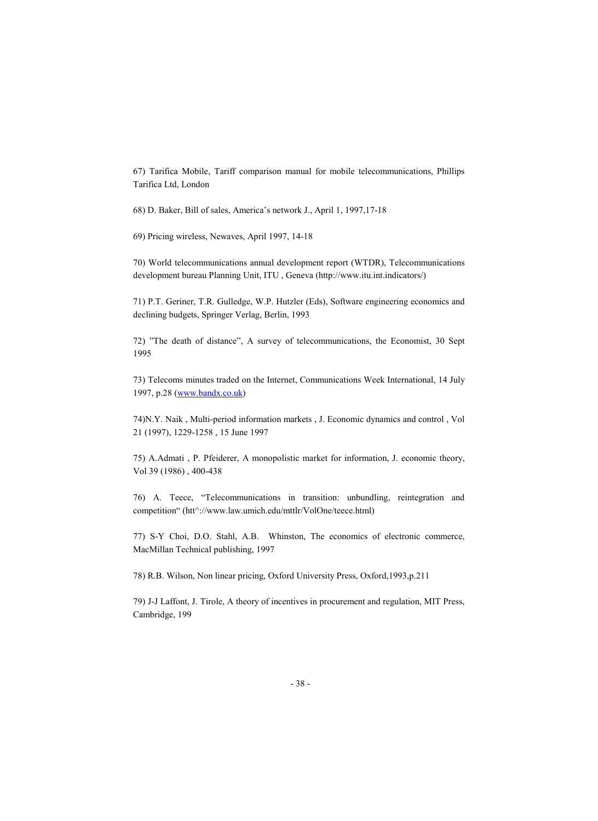67) Tarifica Mobile, Tariff comparison manual for mobile telecommunications, Phillips Tarifica Ltd, London

68) D. Baker, Bill of sales, America's network J., April 1, 1997,17-18

69) Pricing wireless, Newaves, April 1997, 14-18

70) World telecommunications annual development report (WTDR), Telecommunications development bureau Planning Unit, ITU , Geneva (http://www.itu.int.indicators/)

71) P.T. Geriner, T.R. Gulledge, W.P. Hutzler (Eds), Software engineering economics and declining budgets, Springer Verlag, Berlin, 1993

72) "The death of distance", A survey of telecommunications, the Economist, 30 Sept 1995

73) Telecoms minutes traded on the Internet, Communications Week International, 14 July 1997, p.28 (www.bandx.co.uk)

74)N.Y. Naik , Multi-period information markets , J. Economic dynamics and control , Vol 21 (1997), 1229-1258 , 15 June 1997

75) A.Admati , P. Pfeiderer, A monopolistic market for information, J. economic theory, Vol 39 (1986) , 400-438

76) A. Teece, "Telecommunications in transition: unbundling, reintegration and competition" (htt^://www.law.umich.edu/mttlr/VolOne/teece.html)

77) S-Y Choi, D.O. Stahl, A.B. Whinston, The economics of electronic commerce, MacMillan Technical publishing, 1997

78) R.B. Wilson, Non linear pricing, Oxford University Press, Oxford,1993,p.211

79) J-J Laffont, J. Tirole, A theory of incentives in procurement and regulation, MIT Press, Cambridge, 199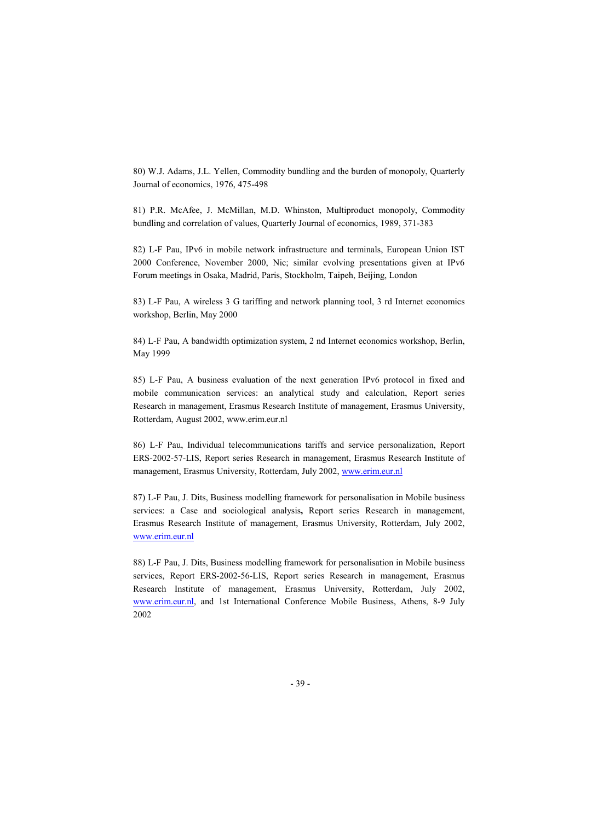80) W.J. Adams, J.L. Yellen, Commodity bundling and the burden of monopoly, Quarterly Journal of economics, 1976, 475-498

81) P.R. McAfee, J. McMillan, M.D. Whinston, Multiproduct monopoly, Commodity bundling and correlation of values, Quarterly Journal of economics, 1989, 371-383

82) L-F Pau, IPv6 in mobile network infrastructure and terminals, European Union IST 2000 Conference, November 2000, Nic; similar evolving presentations given at IPv6 Forum meetings in Osaka, Madrid, Paris, Stockholm, Taipeh, Beijing, London

83) L-F Pau, A wireless 3 G tariffing and network planning tool, 3 rd Internet economics workshop, Berlin, May 2000

84) L-F Pau, A bandwidth optimization system, 2 nd Internet economics workshop, Berlin, May 1999

85) L-F Pau, A business evaluation of the next generation IPv6 protocol in fixed and mobile communication services: an analytical study and calculation, Report series Research in management, Erasmus Research Institute of management, Erasmus University, Rotterdam, August 2002, www.erim.eur.nl

86) L-F Pau, Individual telecommunications tariffs and service personalization, Report ERS-2002-57-LIS, Report series Research in management, Erasmus Research Institute of management, Erasmus University, Rotterdam, July 2002, www.erim.eur.nl

87) L-F Pau, J. Dits, Business modelling framework for personalisation in Mobile business services: a Case and sociological analysis, Report series Research in management, Erasmus Research Institute of management, Erasmus University, Rotterdam, July 2002, www.erim.eur.nl

88) L-F Pau, J. Dits, Business modelling framework for personalisation in Mobile business services, Report ERS-2002-56-LIS, Report series Research in management, Erasmus Research Institute of management, Erasmus University, Rotterdam, July 2002, www.erim.eur.nl, and 1st International Conference Mobile Business, Athens, 8-9 July 2002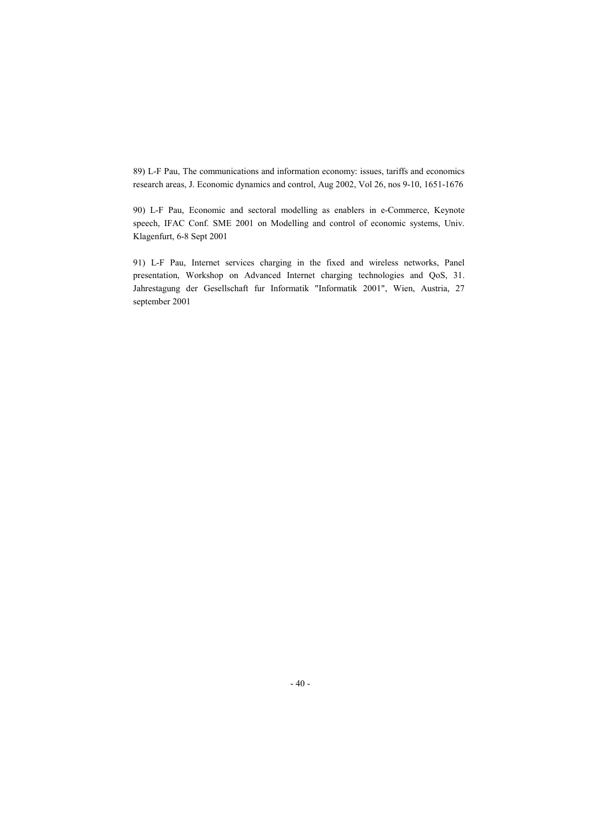89) L-F Pau, The communications and information economy: issues, tariffs and economics research areas, J. Economic dynamics and control, Aug 2002, Vol 26, nos 9-10, 1651-1676

90) L-F Pau, Economic and sectoral modelling as enablers in e-Commerce, Keynote speech, IFAC Conf. SME 2001 on Modelling and control of economic systems, Univ. Klagenfurt, 6-8 Sept 2001

91) L-F Pau, Internet services charging in the fixed and wireless networks, Panel presentation, Workshop on Advanced Internet charging technologies and QoS, 31. Jahrestagung der Gesellschaft fur Informatik "Informatik 2001", Wien, Austria, 27 september 2001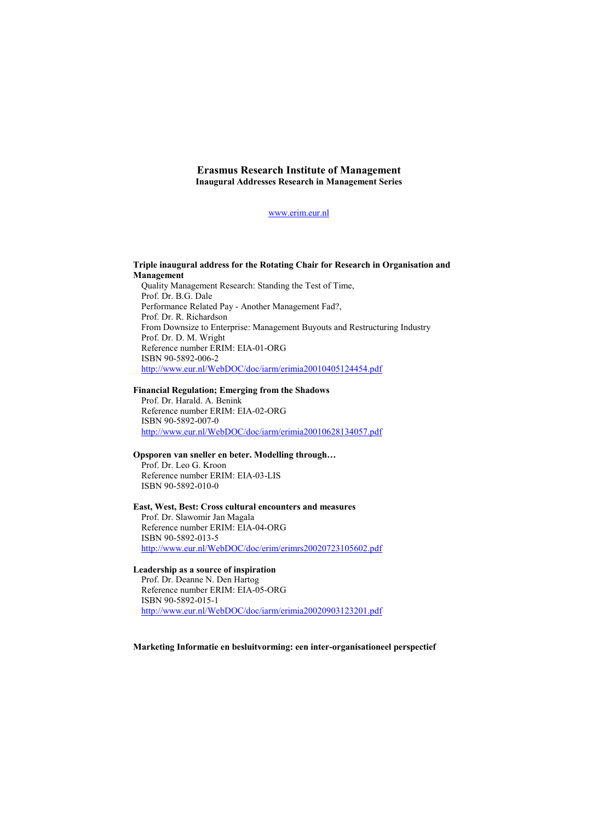### Erasmus Research Institute of Management Inaugural Addresses Research in Management Series

www.erim.eur.nl

### Triple inaugural address for the Rotating Chair for Research in Organisation and Management

Quality Management Research: Standing the Test of Time, Prof. Dr. B.G. Dale Performance Related Pay - Another Management Fad?, Prof. Dr. R. Richardson From Downsize to Enterprise: Management Buyouts and Restructuring Industry Prof. Dr. D. M. Wright Reference number ERIM: EIA-01-ORG ISBN 90-5892-006-2 http://www.eur.nl/WebDOC/doc/iarm/erimia20010405124454.pdf

#### Financial Regulation; Emerging from the Shadows

Prof. Dr. Harald. A. Benink Reference number ERIM: EIA-02-ORG ISBN 90-5892-007-0 http://www.eur.nl/WebDOC/doc/iarm/erimia20010628134057.pdf

#### Opsporen van sneller en beter. Modelling through…

Prof. Dr. Leo G. Kroon Reference number ERIM: EIA-03-LIS ISBN 90-5892-010-0

#### East, West, Best: Cross cultural encounters and measures

Prof. Dr. Slawomir Jan Magala Reference number ERIM: EIA-04-ORG ISBN 90-5892-013-5 http://www.eur.nl/WebDOC/doc/erim/erimrs20020723105602.pdf

## Leadership as a source of inspiration

Prof. Dr. Deanne N. Den Hartog Reference number ERIM: EIA-05-ORG ISBN 90-5892-015-1 http://www.eur.nl/WebDOC/doc/iarm/erimia20020903123201.pdf

Marketing Informatie en besluitvorming: een inter-organisationeel perspectief